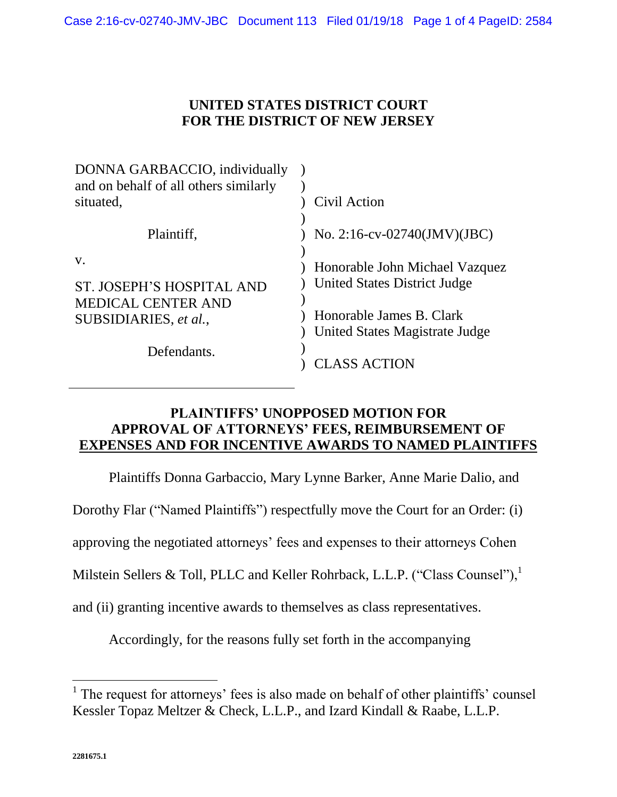# **UNITED STATES DISTRICT COURT FOR THE DISTRICT OF NEW JERSEY**

| DONNA GARBACCIO, individually<br>and on behalf of all others similarly<br>situated,                  | Civil Action                                                                                                                                               |
|------------------------------------------------------------------------------------------------------|------------------------------------------------------------------------------------------------------------------------------------------------------------|
| Plaintiff,                                                                                           | No. 2:16-cv-02740(JMV)(JBC)                                                                                                                                |
| V.<br>ST. JOSEPH'S HOSPITAL AND<br><b>MEDICAL CENTER AND</b><br>SUBSIDIARIES, et al.,<br>Defendants. | Honorable John Michael Vazquez<br><b>United States District Judge</b><br>Honorable James B. Clark<br>United States Magistrate Judge<br><b>CLASS ACTION</b> |

## **PLAINTIFFS' UNOPPOSED MOTION FOR APPROVAL OF ATTORNEYS' FEES, REIMBURSEMENT OF EXPENSES AND FOR INCENTIVE AWARDS TO NAMED PLAINTIFFS**

Plaintiffs Donna Garbaccio, Mary Lynne Barker, Anne Marie Dalio, and

Dorothy Flar ("Named Plaintiffs") respectfully move the Court for an Order: (i)

approving the negotiated attorneys' fees and expenses to their attorneys Cohen

Milstein Sellers & Toll, PLLC and Keller Rohrback, L.L.P. ("Class Counsel"),<sup>1</sup>

and (ii) granting incentive awards to themselves as class representatives.

Accordingly, for the reasons fully set forth in the accompanying

 $\overline{a}$ 

<sup>&</sup>lt;sup>1</sup> The request for attorneys' fees is also made on behalf of other plaintiffs' counsel Kessler Topaz Meltzer & Check, L.L.P., and Izard Kindall & Raabe, L.L.P.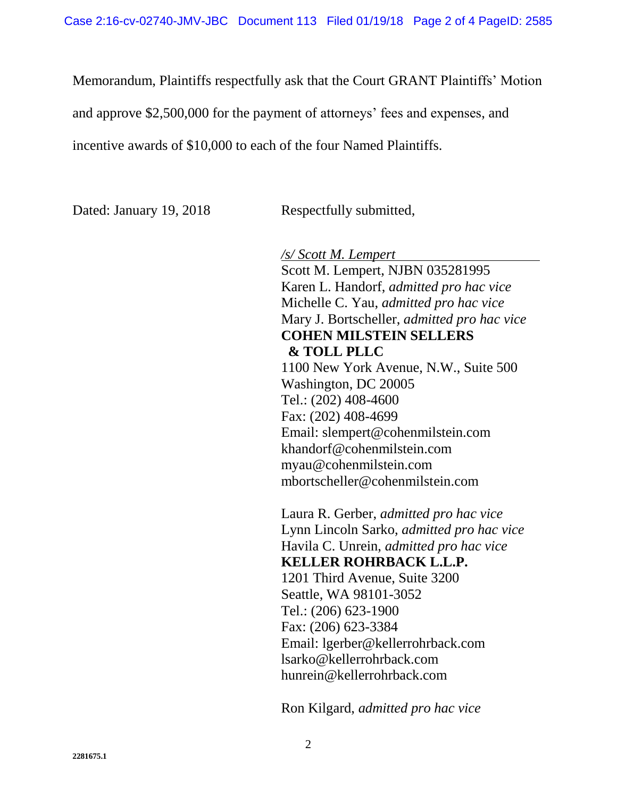Memorandum, Plaintiffs respectfully ask that the Court GRANT Plaintiffs' Motion

and approve \$2,500,000 for the payment of attorneys' fees and expenses, and

incentive awards of \$10,000 to each of the four Named Plaintiffs.

Dated: January 19, 2018 Respectfully submitted,

*/s/ Scott M. Lempert*

Scott M. Lempert, NJBN 035281995 Karen L. Handorf, *admitted pro hac vice* Michelle C. Yau, *admitted pro hac vice* Mary J. Bortscheller, *admitted pro hac vice* **COHEN MILSTEIN SELLERS & TOLL PLLC** 1100 New York Avenue, N.W., Suite 500 Washington, DC 20005 Tel.: (202) 408-4600 Fax: (202) 408-4699 Email: slempert@cohenmilstein.com khandorf@cohenmilstein.com myau@cohenmilstein.com mbortscheller@cohenmilstein.com

Laura R. Gerber, *admitted pro hac vice* Lynn Lincoln Sarko, *admitted pro hac vice* Havila C. Unrein, *admitted pro hac vice* **KELLER ROHRBACK L.L.P.** 1201 Third Avenue, Suite 3200 Seattle, WA 98101-3052 Tel.: (206) 623-1900 Fax: (206) 623-3384 Email: lgerber@kellerrohrback.com lsarko@kellerrohrback.com hunrein@kellerrohrback.com

Ron Kilgard, *admitted pro hac vice*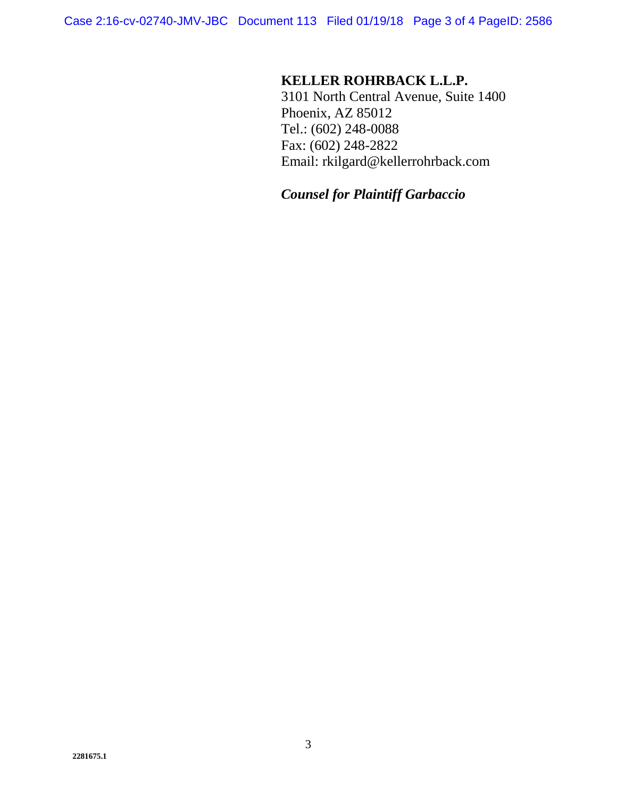Case 2:16-cv-02740-JMV-JBC Document 113 Filed 01/19/18 Page 3 of 4 PageID: 2586

## **KELLER ROHRBACK L.L.P.**

3101 North Central Avenue, Suite 1400 Phoenix, AZ 85012 Tel.: (602) 248-0088 Fax: (602) 248-2822 Email: rkilgard@kellerrohrback.com

### *Counsel for Plaintiff Garbaccio*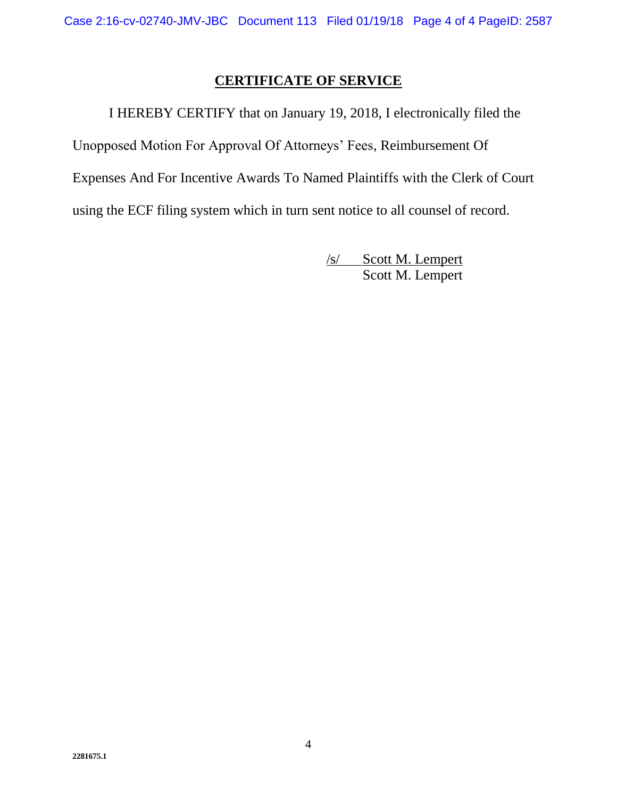# **CERTIFICATE OF SERVICE**

I HEREBY CERTIFY that on January 19, 2018, I electronically filed the Unopposed Motion For Approval Of Attorneys' Fees, Reimbursement Of Expenses And For Incentive Awards To Named Plaintiffs with the Clerk of Court using the ECF filing system which in turn sent notice to all counsel of record.

> /s/ Scott M. Lempert Scott M. Lempert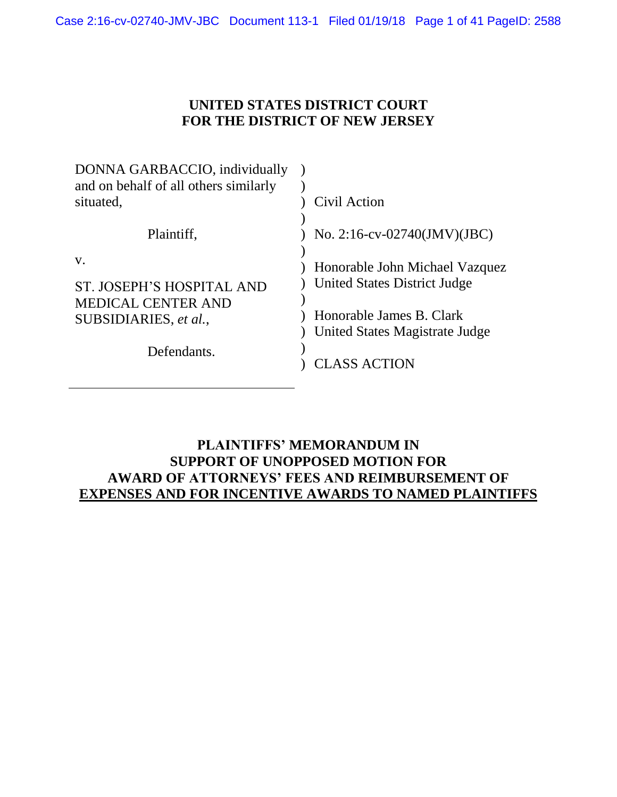# **UNITED STATES DISTRICT COURT FOR THE DISTRICT OF NEW JERSEY**

| DONNA GARBACCIO, individually<br>and on behalf of all others similarly |                                                                       |
|------------------------------------------------------------------------|-----------------------------------------------------------------------|
| situated,                                                              | Civil Action                                                          |
| Plaintiff,                                                             | No. 2:16-cv-02740(JMV)(JBC)                                           |
| V.<br>ST. JOSEPH'S HOSPITAL AND                                        | Honorable John Michael Vazquez<br><b>United States District Judge</b> |
| <b>MEDICAL CENTER AND</b><br>SUBSIDIARIES, et al.,                     | Honorable James B. Clark<br>United States Magistrate Judge            |
| Defendants.                                                            | CLASS ACTION                                                          |

## **PLAINTIFFS' MEMORANDUM IN SUPPORT OF UNOPPOSED MOTION FOR AWARD OF ATTORNEYS' FEES AND REIMBURSEMENT OF EXPENSES AND FOR INCENTIVE AWARDS TO NAMED PLAINTIFFS**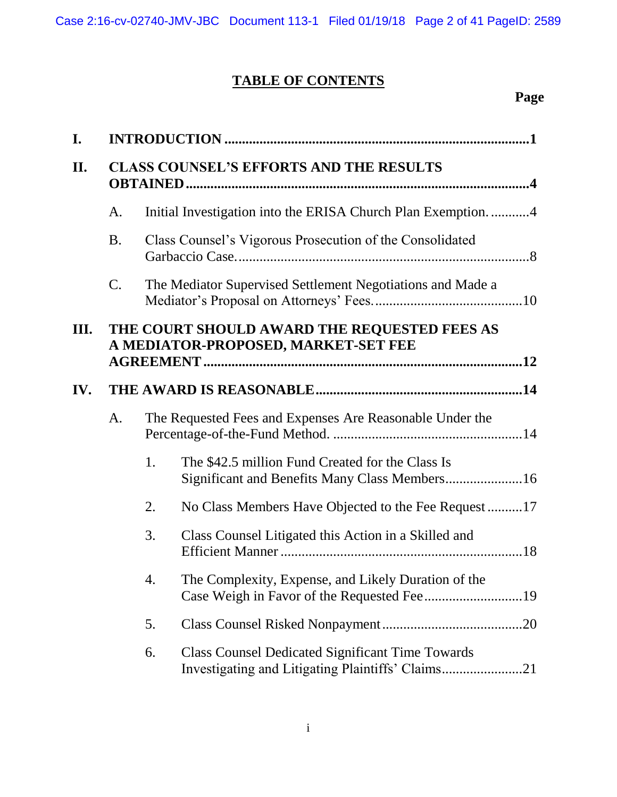# **TABLE OF CONTENTS**

# **Page**

| I.  |                                                |    |                                                                                     |
|-----|------------------------------------------------|----|-------------------------------------------------------------------------------------|
| II. | <b>CLASS COUNSEL'S EFFORTS AND THE RESULTS</b> |    |                                                                                     |
|     | A.                                             |    | Initial Investigation into the ERISA Church Plan Exemption4                         |
|     | <b>B.</b>                                      |    | Class Counsel's Vigorous Prosecution of the Consolidated                            |
|     | $\mathcal{C}$ .                                |    | The Mediator Supervised Settlement Negotiations and Made a                          |
| Ш.  |                                                |    | THE COURT SHOULD AWARD THE REQUESTED FEES AS<br>A MEDIATOR-PROPOSED, MARKET-SET FEE |
| IV. |                                                |    |                                                                                     |
|     | A.                                             |    | The Requested Fees and Expenses Are Reasonable Under the                            |
|     |                                                | 1. | The \$42.5 million Fund Created for the Class Is                                    |
|     |                                                | 2. | No Class Members Have Objected to the Fee Request17                                 |
|     |                                                | 3. | Class Counsel Litigated this Action in a Skilled and                                |
|     |                                                | 4. | The Complexity, Expense, and Likely Duration of the                                 |
|     |                                                | 5. |                                                                                     |
|     |                                                | 6. | <b>Class Counsel Dedicated Significant Time Towards</b>                             |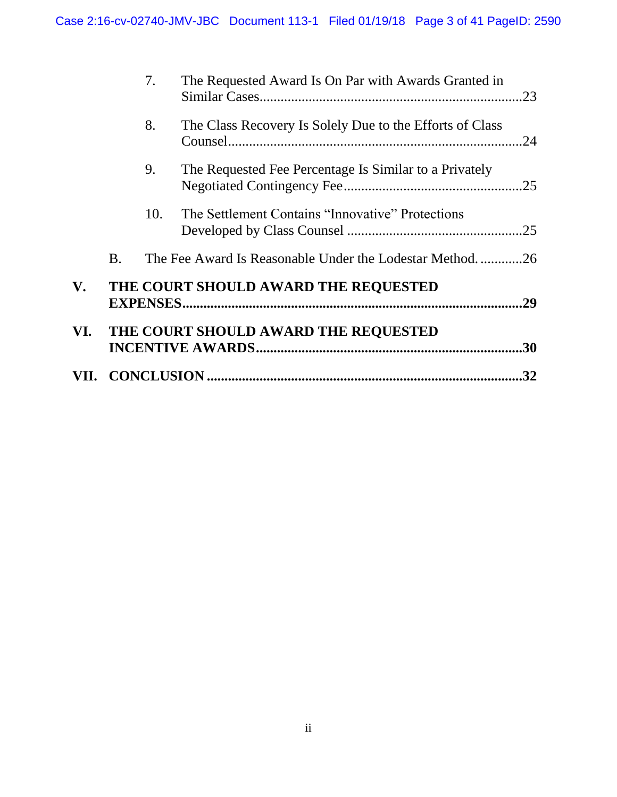|               |           |                  |                                                          | 32  |
|---------------|-----------|------------------|----------------------------------------------------------|-----|
| VI.           |           |                  | THE COURT SHOULD AWARD THE REQUESTED                     | .30 |
| $V_{\bullet}$ |           | <b>EXPENSES.</b> | THE COURT SHOULD AWARD THE REQUESTED                     | .29 |
|               | <b>B.</b> |                  | The Fee Award Is Reasonable Under the Lodestar Method    | .26 |
|               |           | 10.              | The Settlement Contains "Innovative" Protections         |     |
|               |           | 9.               | The Requested Fee Percentage Is Similar to a Privately   |     |
|               |           | 8.               | The Class Recovery Is Solely Due to the Efforts of Class |     |
|               |           | 7.               | The Requested Award Is On Par with Awards Granted in     | .23 |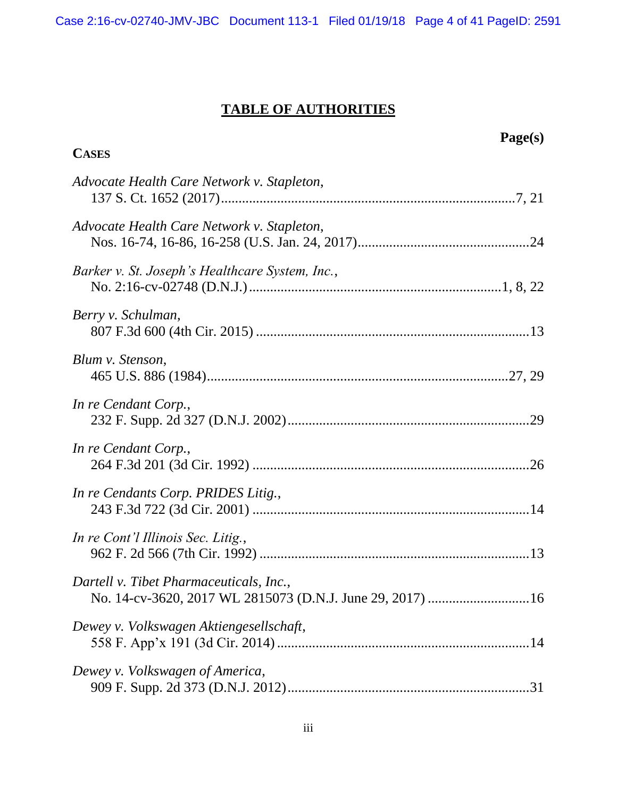Case 2:16-cv-02740-JMV-JBC Document 113-1 Filed 01/19/18 Page 4 of 41 PageID: 2591

# **TABLE OF AUTHORITIES**

| <b>CASES</b>                                    | Page(s) |
|-------------------------------------------------|---------|
| Advocate Health Care Network v. Stapleton,      |         |
| Advocate Health Care Network v. Stapleton,      |         |
| Barker v. St. Joseph's Healthcare System, Inc., |         |
| Berry v. Schulman,                              |         |
| Blum v. Stenson,                                |         |
| In re Cendant Corp.,                            |         |
| In re Cendant Corp.,                            |         |
| In re Cendants Corp. PRIDES Litig.,             |         |
| In re Cont'l Illinois Sec. Litig.,              |         |
| Dartell v. Tibet Pharmaceuticals, Inc.,         |         |
| Dewey v. Volkswagen Aktiengesellschaft,         |         |
| Dewey v. Volkswagen of America,                 |         |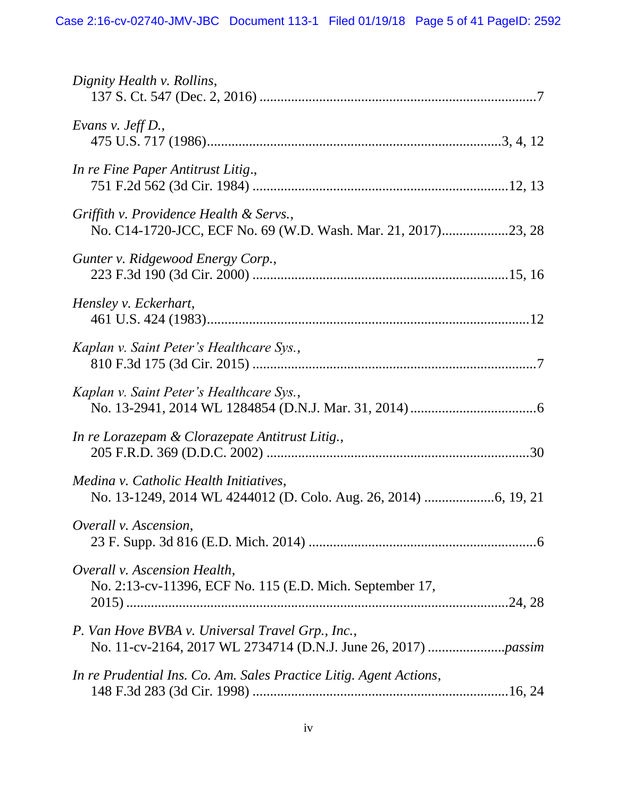| Dignity Health v. Rollins,                                                               |
|------------------------------------------------------------------------------------------|
| Evans $v.$ Jeff D.,                                                                      |
| In re Fine Paper Antitrust Litig.,                                                       |
| Griffith v. Providence Health & Servs.,                                                  |
| Gunter v. Ridgewood Energy Corp.,                                                        |
| Hensley v. Eckerhart,                                                                    |
| Kaplan v. Saint Peter's Healthcare Sys.,                                                 |
| Kaplan v. Saint Peter's Healthcare Sys.,                                                 |
| In re Lorazepam & Clorazepate Antitrust Litig.,                                          |
| Medina v. Catholic Health Initiatives,                                                   |
| Overall v. Ascension,                                                                    |
| Overall v. Ascension Health,<br>No. 2:13-cv-11396, ECF No. 115 (E.D. Mich. September 17, |
| P. Van Hove BVBA v. Universal Travel Grp., Inc.,                                         |
| In re Prudential Ins. Co. Am. Sales Practice Litig. Agent Actions,                       |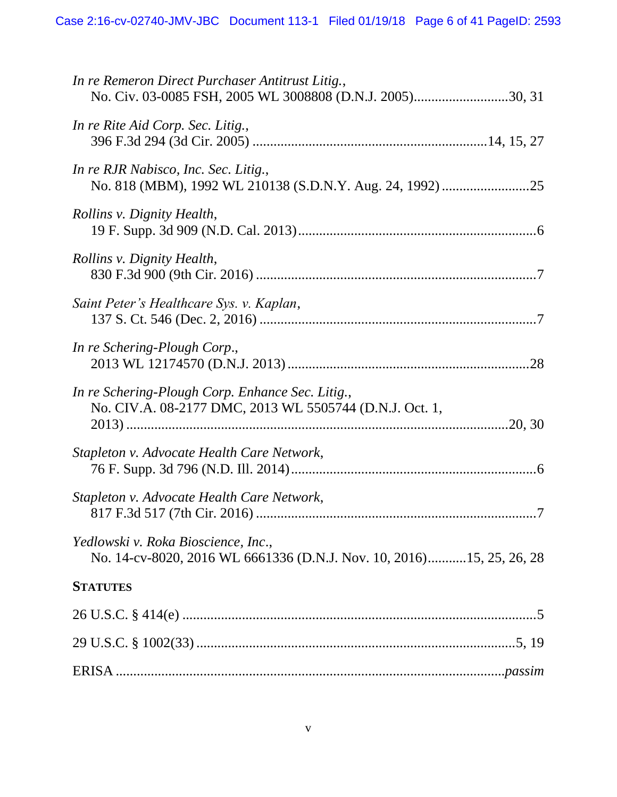| In re Remeron Direct Purchaser Antitrust Litig.,<br>No. Civ. 03-0085 FSH, 2005 WL 3008808 (D.N.J. 2005)30, 31 |
|---------------------------------------------------------------------------------------------------------------|
| In re Rite Aid Corp. Sec. Litig.,                                                                             |
| In re RJR Nabisco, Inc. Sec. Litig.,                                                                          |
| Rollins v. Dignity Health,                                                                                    |
| Rollins v. Dignity Health,                                                                                    |
| Saint Peter's Healthcare Sys. v. Kaplan,                                                                      |
| In re Schering-Plough Corp.,                                                                                  |
| In re Schering-Plough Corp. Enhance Sec. Litig.,<br>No. CIV.A. 08-2177 DMC, 2013 WL 5505744 (D.N.J. Oct. 1,   |
| Stapleton v. Advocate Health Care Network,                                                                    |
| Stapleton v. Advocate Health Care Network,                                                                    |
| Yedlowski v. Roka Bioscience, Inc.,<br>No. 14-cv-8020, 2016 WL 6661336 (D.N.J. Nov. 10, 2016)15, 25, 26, 28   |
| <b>STATUTES</b>                                                                                               |
|                                                                                                               |
|                                                                                                               |
|                                                                                                               |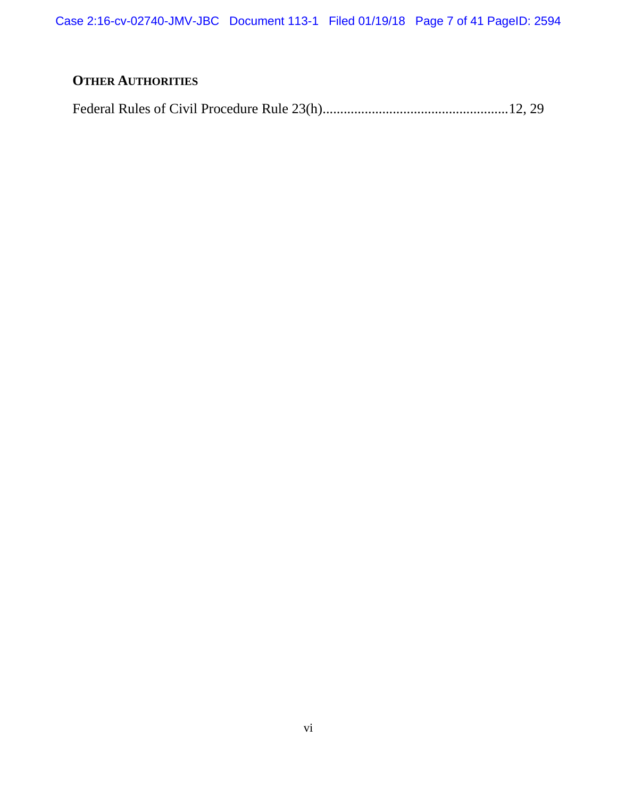Case 2:16-cv-02740-JMV-JBC Document 113-1 Filed 01/19/18 Page 7 of 41 PageID: 2594

# **OTHER AUTHORITIES**

Federal Rules of Civil Procedure Rule 23(h)....................................................[.12,](#page-22-4) [29](#page-39-3)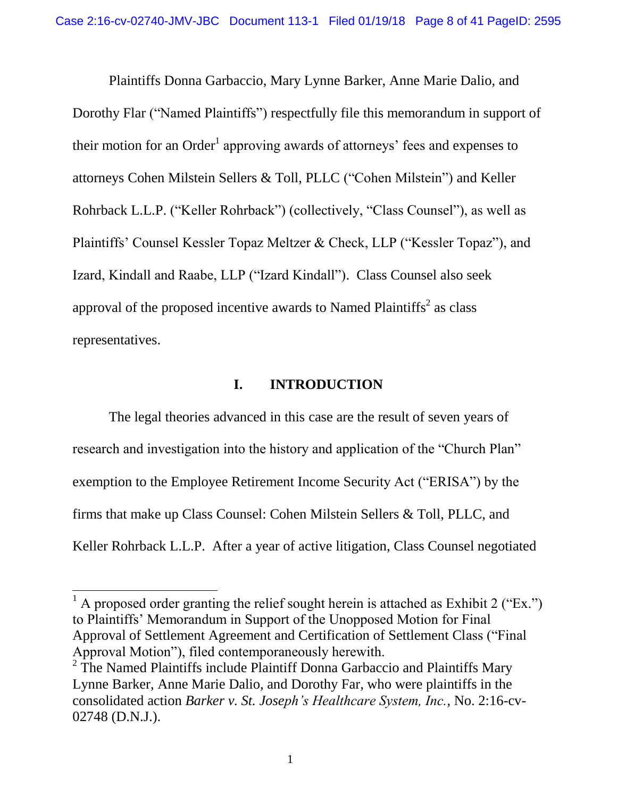Plaintiffs Donna Garbaccio, Mary Lynne Barker, Anne Marie Dalio, and Dorothy Flar ("Named Plaintiffs") respectfully file this memorandum in support of their motion for an Order<sup>1</sup> approving awards of attorneys' fees and expenses to attorneys Cohen Milstein Sellers & Toll, PLLC ("Cohen Milstein") and Keller Rohrback L.L.P. ("Keller Rohrback") (collectively, "Class Counsel"), as well as Plaintiffs' Counsel Kessler Topaz Meltzer & Check, LLP ("Kessler Topaz"), and Izard, Kindall and Raabe, LLP ("Izard Kindall"). Class Counsel also seek approval of the proposed incentive awards to Named Plaintiffs<sup>2</sup> as class representatives.

#### **I. INTRODUCTION**

<span id="page-11-0"></span>The legal theories advanced in this case are the result of seven years of research and investigation into the history and application of the "Church Plan" exemption to the Employee Retirement Income Security Act ("ERISA") by the firms that make up Class Counsel: Cohen Milstein Sellers & Toll, PLLC, and Keller Rohrback L.L.P. After a year of active litigation, Class Counsel negotiated

 $\overline{a}$ 

<sup>&</sup>lt;sup>1</sup> A proposed order granting the relief sought herein is attached as Exhibit 2 ("Ex.") to Plaintiffs' Memorandum in Support of the Unopposed Motion for Final Approval of Settlement Agreement and Certification of Settlement Class ("Final Approval Motion"), filed contemporaneously herewith.

<span id="page-11-1"></span> $2$  The Named Plaintiffs include Plaintiff Donna Garbaccio and Plaintiffs Mary Lynne Barker, Anne Marie Dalio, and Dorothy Far, who were plaintiffs in the consolidated action *Barker v. St. Joseph's Healthcare System, Inc.*, No. 2:16-cv-02748 (D.N.J.).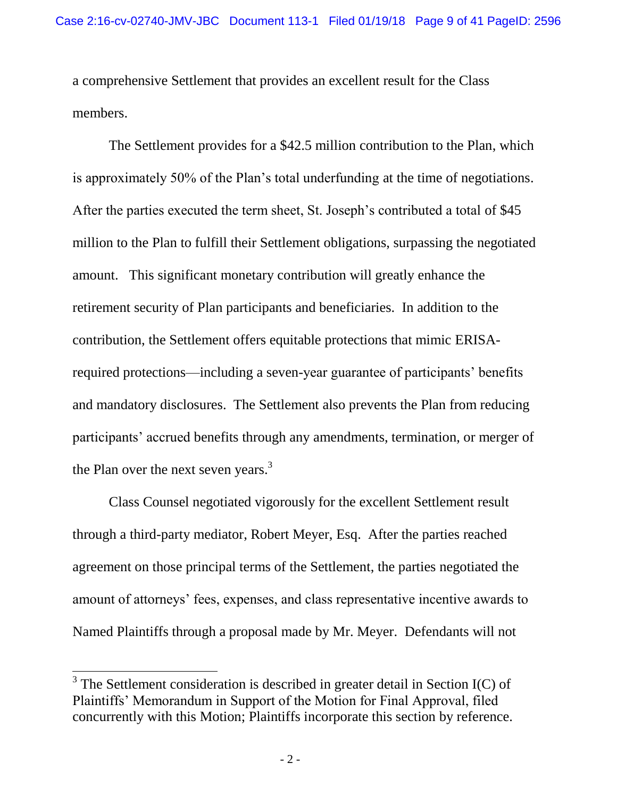a comprehensive Settlement that provides an excellent result for the Class members.

The Settlement provides for a \$42.5 million contribution to the Plan, which is approximately 50% of the Plan's total underfunding at the time of negotiations. After the parties executed the term sheet, St. Joseph's contributed a total of \$45 million to the Plan to fulfill their Settlement obligations, surpassing the negotiated amount. This significant monetary contribution will greatly enhance the retirement security of Plan participants and beneficiaries. In addition to the contribution, the Settlement offers equitable protections that mimic ERISArequired protections—including a seven-year guarantee of participants' benefits and mandatory disclosures. The Settlement also prevents the Plan from reducing participants' accrued benefits through any amendments, termination, or merger of the Plan over the next seven years.<sup>3</sup>

Class Counsel negotiated vigorously for the excellent Settlement result through a third-party mediator, Robert Meyer, Esq. After the parties reached agreement on those principal terms of the Settlement, the parties negotiated the amount of attorneys' fees, expenses, and class representative incentive awards to Named Plaintiffs through a proposal made by Mr. Meyer. Defendants will not

 $\overline{a}$ 

 $3$  The Settlement consideration is described in greater detail in Section I(C) of Plaintiffs' Memorandum in Support of the Motion for Final Approval, filed concurrently with this Motion; Plaintiffs incorporate this section by reference.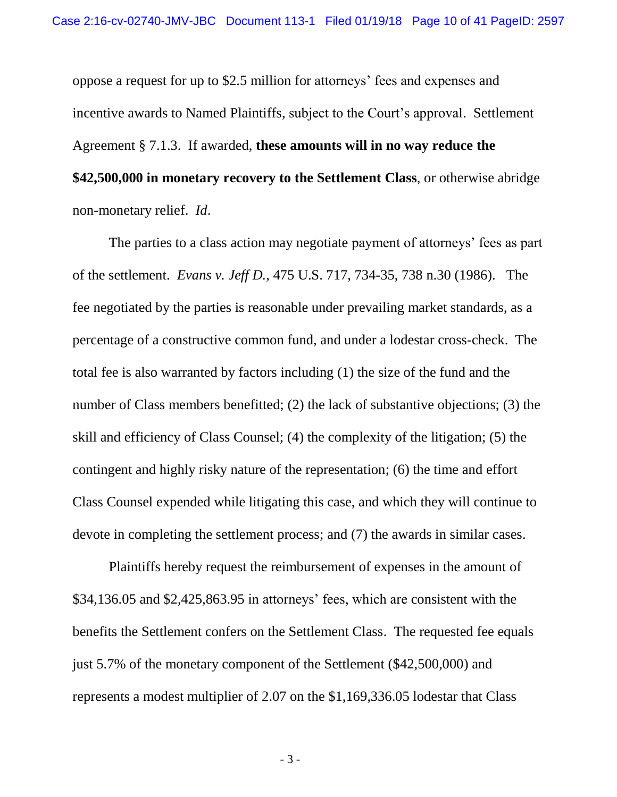oppose a request for up to \$2.5 million for attorneys' fees and expenses and incentive awards to Named Plaintiffs, subject to the Court's approval. Settlement Agreement § 7.1.3. If awarded, **these amounts will in no way reduce the \$42,500,000 in monetary recovery to the Settlement Class**, or otherwise abridge non-monetary relief. *Id*.

<span id="page-13-0"></span>The parties to a class action may negotiate payment of attorneys' fees as part of the settlement. *Evans v. Jeff D.*, 475 U.S. 717, 734-35, 738 n.30 (1986). The fee negotiated by the parties is reasonable under prevailing market standards, as a percentage of a constructive common fund, and under a lodestar cross-check. The total fee is also warranted by factors including (1) the size of the fund and the number of Class members benefitted; (2) the lack of substantive objections; (3) the skill and efficiency of Class Counsel; (4) the complexity of the litigation; (5) the contingent and highly risky nature of the representation; (6) the time and effort Class Counsel expended while litigating this case, and which they will continue to devote in completing the settlement process; and (7) the awards in similar cases.

Plaintiffs hereby request the reimbursement of expenses in the amount of \$34,136.05 and \$2,425,863.95 in attorneys' fees, which are consistent with the benefits the Settlement confers on the Settlement Class. The requested fee equals just 5.7% of the monetary component of the Settlement (\$42,500,000) and represents a modest multiplier of 2.07 on the \$1,169,336.05 lodestar that Class

- 3 -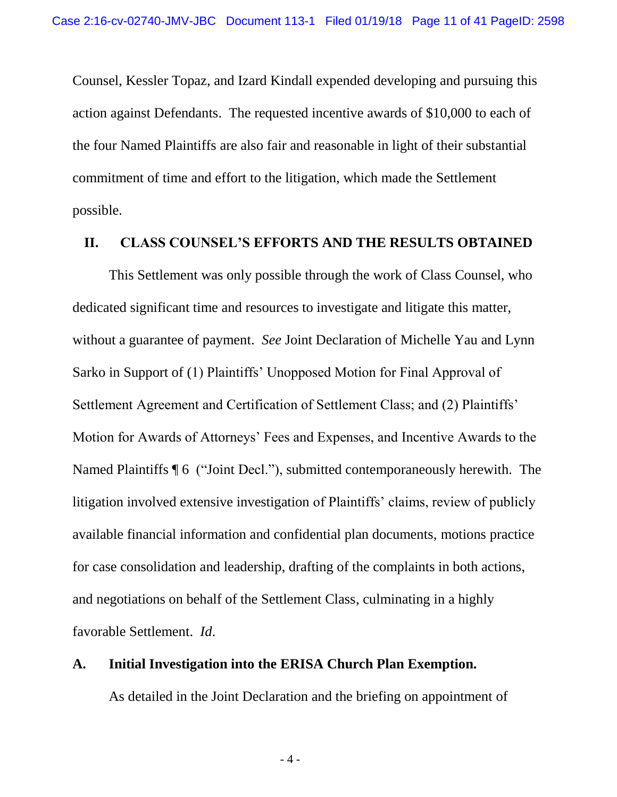Counsel, Kessler Topaz, and Izard Kindall expended developing and pursuing this action against Defendants. The requested incentive awards of \$10,000 to each of the four Named Plaintiffs are also fair and reasonable in light of their substantial commitment of time and effort to the litigation, which made the Settlement possible.

#### <span id="page-14-0"></span>**II. CLASS COUNSEL'S EFFORTS AND THE RESULTS OBTAINED**

This Settlement was only possible through the work of Class Counsel, who dedicated significant time and resources to investigate and litigate this matter, without a guarantee of payment. *See* Joint Declaration of Michelle Yau and Lynn Sarko in Support of (1) Plaintiffs' Unopposed Motion for Final Approval of Settlement Agreement and Certification of Settlement Class; and (2) Plaintiffs' Motion for Awards of Attorneys' Fees and Expenses, and Incentive Awards to the Named Plaintiffs ¶ 6 ("Joint Decl."), submitted contemporaneously herewith. The litigation involved extensive investigation of Plaintiffs' claims, review of publicly available financial information and confidential plan documents, motions practice for case consolidation and leadership, drafting of the complaints in both actions, and negotiations on behalf of the Settlement Class, culminating in a highly favorable Settlement. *Id*.

#### <span id="page-14-1"></span>**A. Initial Investigation into the ERISA Church Plan Exemption.**

<span id="page-14-2"></span>As detailed in the Joint Declaration and the briefing on appointment of

<span id="page-14-3"></span>- 4 -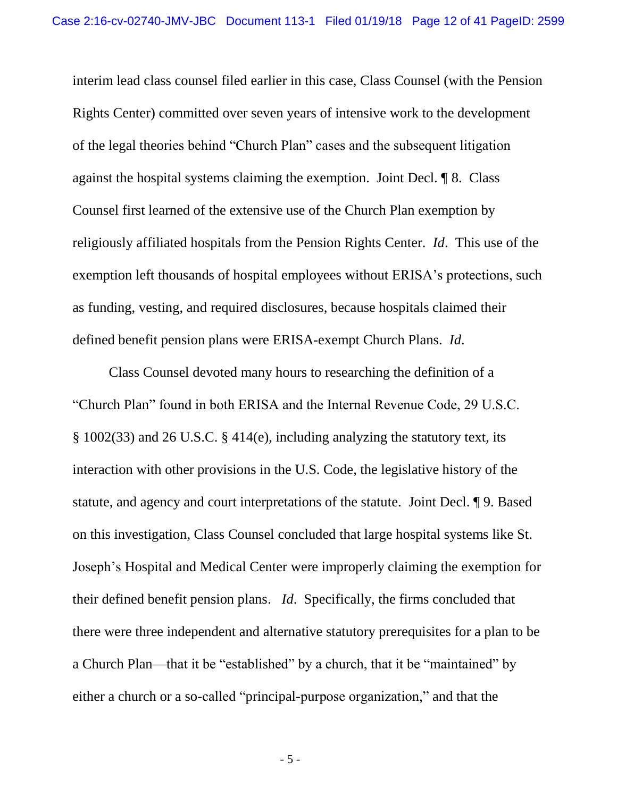interim lead class counsel filed earlier in this case, Class Counsel (with the Pension Rights Center) committed over seven years of intensive work to the development of the legal theories behind "Church Plan" cases and the subsequent litigation against the hospital systems claiming the exemption. Joint Decl. ¶ 8. Class Counsel first learned of the extensive use of the Church Plan exemption by religiously affiliated hospitals from the Pension Rights Center. *Id*. This use of the exemption left thousands of hospital employees without ERISA's protections, such as funding, vesting, and required disclosures, because hospitals claimed their defined benefit pension plans were ERISA-exempt Church Plans. *Id*.

<span id="page-15-1"></span><span id="page-15-0"></span>Class Counsel devoted many hours to researching the definition of a "Church Plan" found in both ERISA and the Internal Revenue Code, 29 U.S.C. § 1002(33) and 26 U.S.C. § 414(e), including analyzing the statutory text, its interaction with other provisions in the U.S. Code, the legislative history of the statute, and agency and court interpretations of the statute. Joint Decl. ¶ 9. Based on this investigation, Class Counsel concluded that large hospital systems like St. Joseph's Hospital and Medical Center were improperly claiming the exemption for their defined benefit pension plans. *Id*. Specifically, the firms concluded that there were three independent and alternative statutory prerequisites for a plan to be a Church Plan—that it be "established" by a church, that it be "maintained" by either a church or a so-called "principal-purpose organization," and that the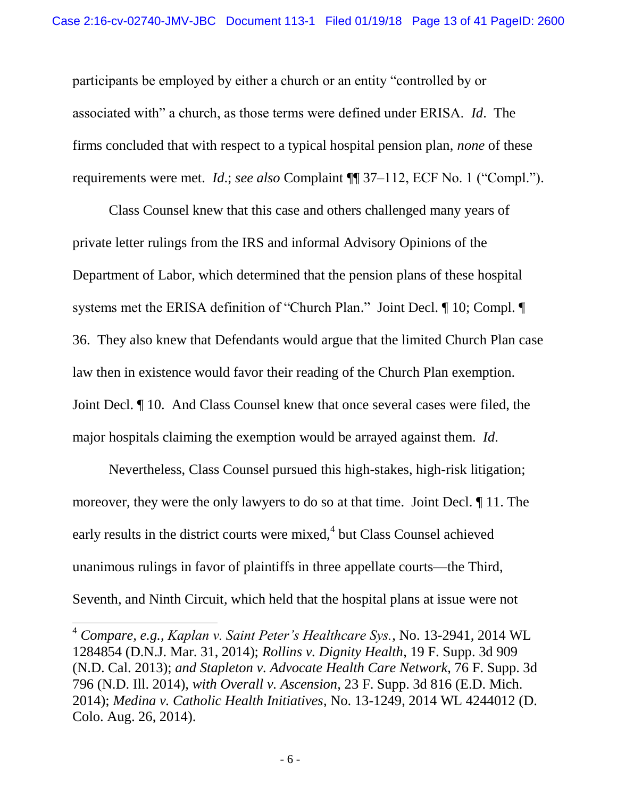participants be employed by either a church or an entity "controlled by or associated with" a church, as those terms were defined under ERISA. *Id*. The firms concluded that with respect to a typical hospital pension plan, *none* of these requirements were met. *Id*.; *see also* Complaint ¶¶ 37–112, ECF No. 1 ("Compl.").

Class Counsel knew that this case and others challenged many years of private letter rulings from the IRS and informal Advisory Opinions of the Department of Labor, which determined that the pension plans of these hospital systems met the ERISA definition of "Church Plan." Joint Decl. ¶ 10; Compl. ¶ 36. They also knew that Defendants would argue that the limited Church Plan case law then in existence would favor their reading of the Church Plan exemption. Joint Decl. ¶ 10. And Class Counsel knew that once several cases were filed, the major hospitals claiming the exemption would be arrayed against them. *Id*.

Nevertheless, Class Counsel pursued this high-stakes, high-risk litigation; moreover, they were the only lawyers to do so at that time. Joint Decl. ¶ 11. The early results in the district courts were mixed,<sup>4</sup> but Class Counsel achieved unanimous rulings in favor of plaintiffs in three appellate courts—the Third, Seventh, and Ninth Circuit, which held that the hospital plans at issue were not

<span id="page-16-3"></span><span id="page-16-0"></span> $\overline{a}$ 

<span id="page-16-4"></span><span id="page-16-2"></span><span id="page-16-1"></span><sup>4</sup> *Compare, e.g.*, *Kaplan v. Saint Peter's Healthcare Sys.*, No. 13-2941, 2014 WL 1284854 (D.N.J. Mar. 31, 2014); *Rollins v. Dignity Health*, 19 F. Supp. 3d 909 (N.D. Cal. 2013); *and Stapleton v. Advocate Health Care Network*, 76 F. Supp. 3d 796 (N.D. Ill. 2014), *with Overall v. Ascension*, 23 F. Supp. 3d 816 (E.D. Mich. 2014); *Medina v. Catholic Health Initiatives*, No. 13-1249, 2014 WL 4244012 (D. Colo. Aug. 26, 2014).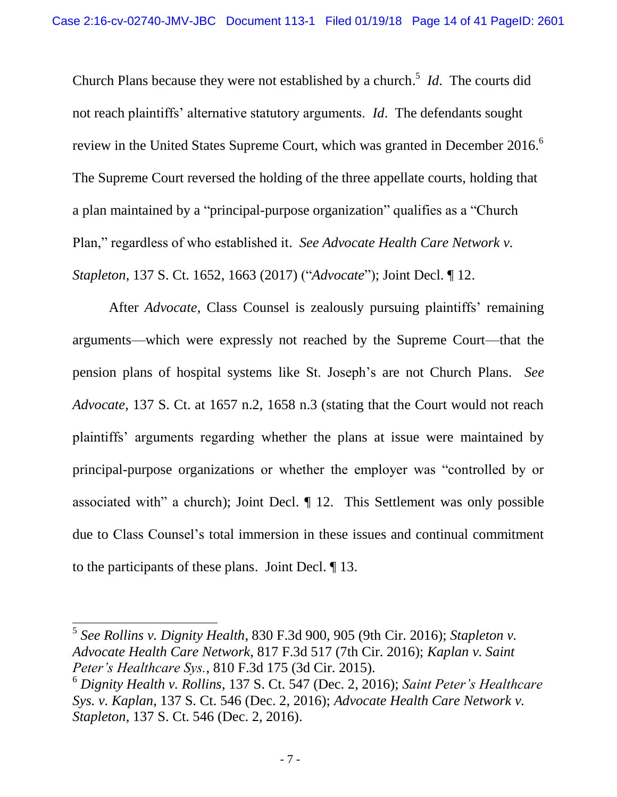Church Plans because they were not established by a church. 5 *Id*. The courts did not reach plaintiffs' alternative statutory arguments. *Id*. The defendants sought review in the United States Supreme Court, which was granted in December 2016.<sup>6</sup> The Supreme Court reversed the holding of the three appellate courts, holding that a plan maintained by a "principal-purpose organization" qualifies as a "Church Plan," regardless of who established it. *See Advocate Health Care Network v. Stapleton*, 137 S. Ct. 1652, 1663 (2017) ("*Advocate*"); Joint Decl. ¶ 12.

<span id="page-17-0"></span>After *Advocate*, Class Counsel is zealously pursuing plaintiffs' remaining arguments—which were expressly not reached by the Supreme Court—that the pension plans of hospital systems like St. Joseph's are not Church Plans. *See Advocate*, 137 S. Ct. at 1657 n.2, 1658 n.3 (stating that the Court would not reach plaintiffs' arguments regarding whether the plans at issue were maintained by principal-purpose organizations or whether the employer was "controlled by or associated with" a church); Joint Decl. ¶ 12. This Settlement was only possible due to Class Counsel's total immersion in these issues and continual commitment to the participants of these plans. Joint Decl. ¶ 13.

<span id="page-17-5"></span><span id="page-17-3"></span><span id="page-17-2"></span> $\overline{a}$ 

<sup>5</sup> *See Rollins v. Dignity Health*, 830 F.3d 900, 905 (9th Cir. 2016); *Stapleton v. Advocate Health Care Network*, 817 F.3d 517 (7th Cir. 2016); *Kaplan v. Saint Peter's Healthcare Sys.*, 810 F.3d 175 (3d Cir. 2015).

<span id="page-17-4"></span><span id="page-17-1"></span><sup>6</sup> *Dignity Health v. Rollins*, 137 S. Ct. 547 (Dec. 2, 2016); *Saint Peter's Healthcare Sys. v. Kaplan*, 137 S. Ct. 546 (Dec. 2, 2016); *Advocate Health Care Network v. Stapleton*, 137 S. Ct. 546 (Dec. 2, 2016).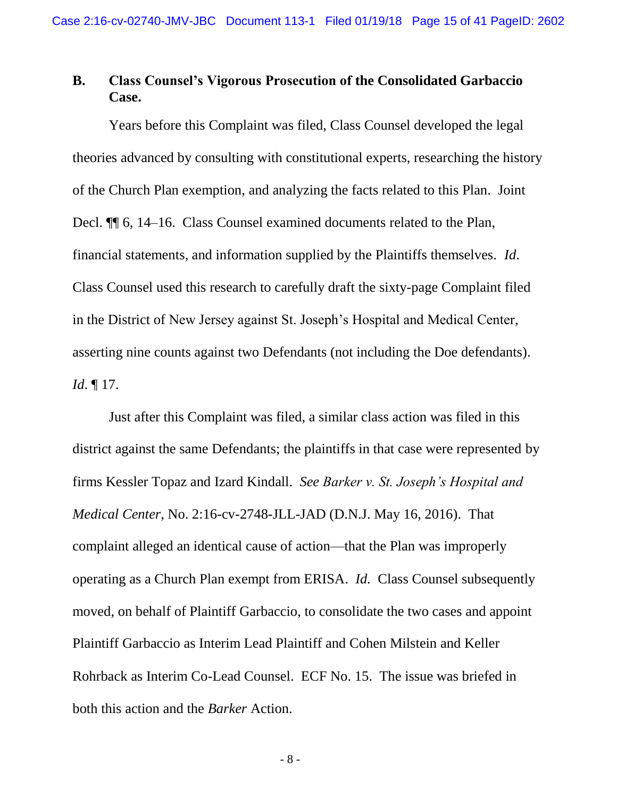# <span id="page-18-0"></span>**B. Class Counsel's Vigorous Prosecution of the Consolidated Garbaccio Case.**

Years before this Complaint was filed, Class Counsel developed the legal theories advanced by consulting with constitutional experts, researching the history of the Church Plan exemption, and analyzing the facts related to this Plan. Joint Decl. ¶¶ 6, 14–16. Class Counsel examined documents related to the Plan, financial statements, and information supplied by the Plaintiffs themselves. *Id*. Class Counsel used this research to carefully draft the sixty-page Complaint filed in the District of New Jersey against St. Joseph's Hospital and Medical Center, asserting nine counts against two Defendants (not including the Doe defendants). *Id*. ¶ 17.

<span id="page-18-1"></span>Just after this Complaint was filed, a similar class action was filed in this district against the same Defendants; the plaintiffs in that case were represented by firms Kessler Topaz and Izard Kindall. *See Barker v. St. Joseph's Hospital and Medical Center*, No. 2:16-cv-2748-JLL-JAD (D.N.J. May 16, 2016). That complaint alleged an identical cause of action—that the Plan was improperly operating as a Church Plan exempt from ERISA. *Id.* Class Counsel subsequently moved, on behalf of Plaintiff Garbaccio, to consolidate the two cases and appoint Plaintiff Garbaccio as Interim Lead Plaintiff and Cohen Milstein and Keller Rohrback as Interim Co-Lead Counsel. ECF No. 15. The issue was briefed in both this action and the *Barker* Action.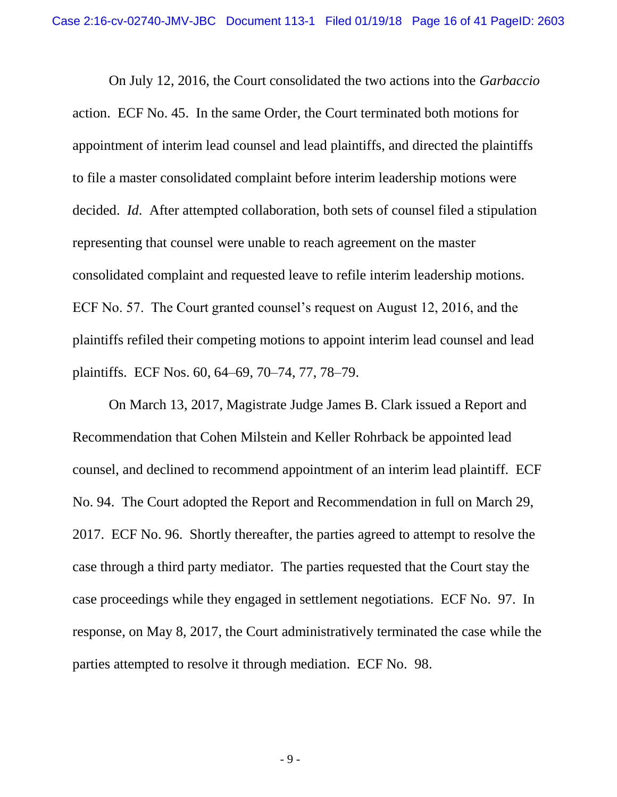On July 12, 2016, the Court consolidated the two actions into the *Garbaccio*  action. ECF No. 45. In the same Order, the Court terminated both motions for appointment of interim lead counsel and lead plaintiffs, and directed the plaintiffs to file a master consolidated complaint before interim leadership motions were decided. *Id*. After attempted collaboration, both sets of counsel filed a stipulation representing that counsel were unable to reach agreement on the master consolidated complaint and requested leave to refile interim leadership motions. ECF No. 57. The Court granted counsel's request on August 12, 2016, and the plaintiffs refiled their competing motions to appoint interim lead counsel and lead plaintiffs. ECF Nos. 60, 64–69, 70–74, 77, 78–79.

On March 13, 2017, Magistrate Judge James B. Clark issued a Report and Recommendation that Cohen Milstein and Keller Rohrback be appointed lead counsel, and declined to recommend appointment of an interim lead plaintiff. ECF No. 94. The Court adopted the Report and Recommendation in full on March 29, 2017. ECF No. 96. Shortly thereafter, the parties agreed to attempt to resolve the case through a third party mediator. The parties requested that the Court stay the case proceedings while they engaged in settlement negotiations. ECF No. 97. In response, on May 8, 2017, the Court administratively terminated the case while the parties attempted to resolve it through mediation. ECF No. 98.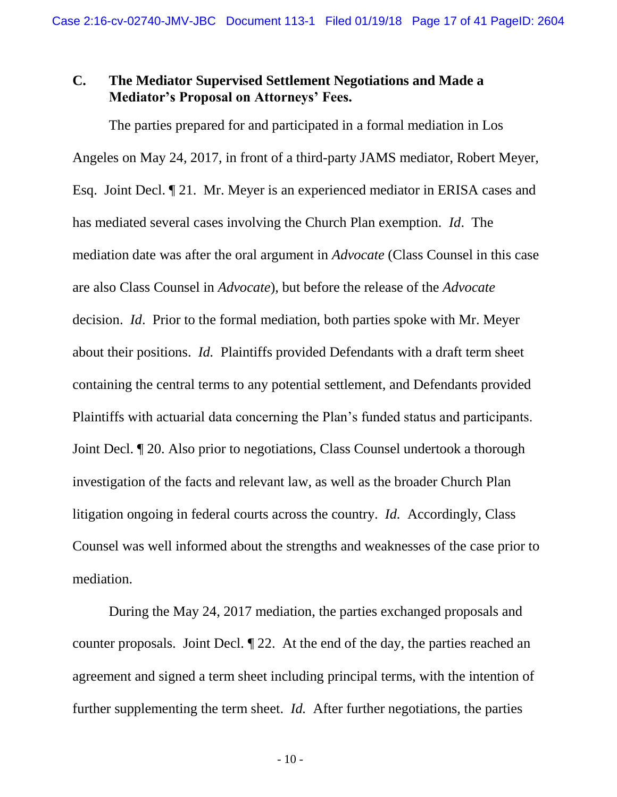### <span id="page-20-0"></span>**C. The Mediator Supervised Settlement Negotiations and Made a Mediator's Proposal on Attorneys' Fees.**

The parties prepared for and participated in a formal mediation in Los Angeles on May 24, 2017, in front of a third-party JAMS mediator, Robert Meyer, Esq. Joint Decl. ¶ 21. Mr. Meyer is an experienced mediator in ERISA cases and has mediated several cases involving the Church Plan exemption. *Id*. The mediation date was after the oral argument in *Advocate* (Class Counsel in this case are also Class Counsel in *Advocate*), but before the release of the *Advocate*  decision. *Id*. Prior to the formal mediation, both parties spoke with Mr. Meyer about their positions. *Id.* Plaintiffs provided Defendants with a draft term sheet containing the central terms to any potential settlement, and Defendants provided Plaintiffs with actuarial data concerning the Plan's funded status and participants. Joint Decl. ¶ 20. Also prior to negotiations, Class Counsel undertook a thorough investigation of the facts and relevant law, as well as the broader Church Plan litigation ongoing in federal courts across the country. *Id.* Accordingly, Class Counsel was well informed about the strengths and weaknesses of the case prior to mediation.

During the May 24, 2017 mediation, the parties exchanged proposals and counter proposals. Joint Decl. ¶ 22. At the end of the day, the parties reached an agreement and signed a term sheet including principal terms, with the intention of further supplementing the term sheet. *Id.* After further negotiations, the parties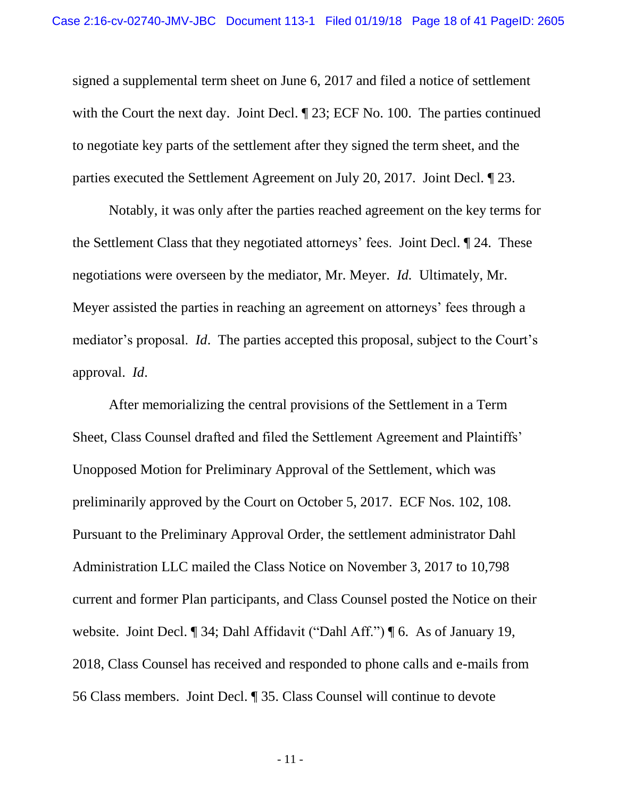signed a supplemental term sheet on June 6, 2017 and filed a notice of settlement with the Court the next day. Joint Decl. ¶ 23; ECF No. 100.The parties continued to negotiate key parts of the settlement after they signed the term sheet, and the parties executed the Settlement Agreement on July 20, 2017. Joint Decl. ¶ 23.

Notably, it was only after the parties reached agreement on the key terms for the Settlement Class that they negotiated attorneys' fees. Joint Decl. ¶ 24. These negotiations were overseen by the mediator, Mr. Meyer. *Id.* Ultimately, Mr. Meyer assisted the parties in reaching an agreement on attorneys' fees through a mediator's proposal. *Id*. The parties accepted this proposal, subject to the Court's approval. *Id*.

After memorializing the central provisions of the Settlement in a Term Sheet, Class Counsel drafted and filed the Settlement Agreement and Plaintiffs' Unopposed Motion for Preliminary Approval of the Settlement, which was preliminarily approved by the Court on October 5, 2017. ECF Nos. 102, 108. Pursuant to the Preliminary Approval Order, the settlement administrator Dahl Administration LLC mailed the Class Notice on November 3, 2017 to 10,798 current and former Plan participants, and Class Counsel posted the Notice on their website. Joint Decl. ¶ 34; Dahl Affidavit ("Dahl Aff.") ¶ 6. As of January 19, 2018, Class Counsel has received and responded to phone calls and e-mails from 56 Class members. Joint Decl. ¶ 35. Class Counsel will continue to devote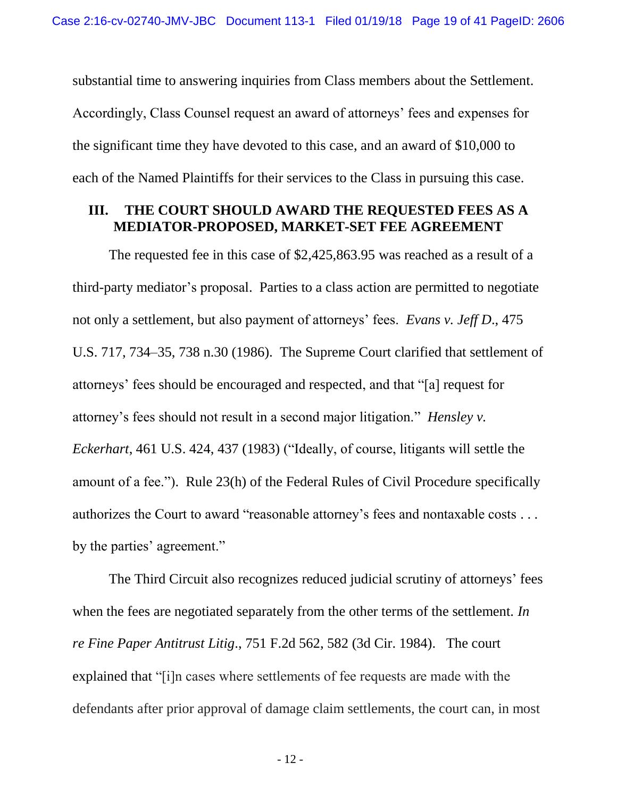substantial time to answering inquiries from Class members about the Settlement. Accordingly, Class Counsel request an award of attorneys' fees and expenses for the significant time they have devoted to this case, and an award of \$10,000 to each of the Named Plaintiffs for their services to the Class in pursuing this case.

#### <span id="page-22-1"></span><span id="page-22-0"></span>**III. THE COURT SHOULD AWARD THE REQUESTED FEES AS A MEDIATOR-PROPOSED, MARKET-SET FEE AGREEMENT**

The requested fee in this case of \$2,425,863.95 was reached as a result of a third-party mediator's proposal. Parties to a class action are permitted to negotiate not only a settlement, but also payment of attorneys' fees. *Evans v. Jeff D*., 475 U.S. 717, 734–35, 738 n.30 (1986). The Supreme Court clarified that settlement of attorneys' fees should be encouraged and respected, and that "[a] request for attorney's fees should not result in a second major litigation." *Hensley v. Eckerhart*, 461 U.S. 424, 437 (1983) ("Ideally, of course, litigants will settle the amount of a fee."). Rule 23(h) of the Federal Rules of Civil Procedure specifically authorizes the Court to award "reasonable attorney's fees and nontaxable costs . . . by the parties' agreement."

<span id="page-22-4"></span>The Third Circuit also recognizes reduced judicial scrutiny of attorneys' fees when the fees are negotiated separately from the other terms of the settlement. *In re Fine Paper Antitrust Litig*., 751 F.2d 562, 582 (3d Cir. 1984). The court explained that "[i]n cases where settlements of fee requests are made with the defendants after prior approval of damage claim settlements, the court can, in most

<span id="page-22-3"></span><span id="page-22-2"></span>- 12 -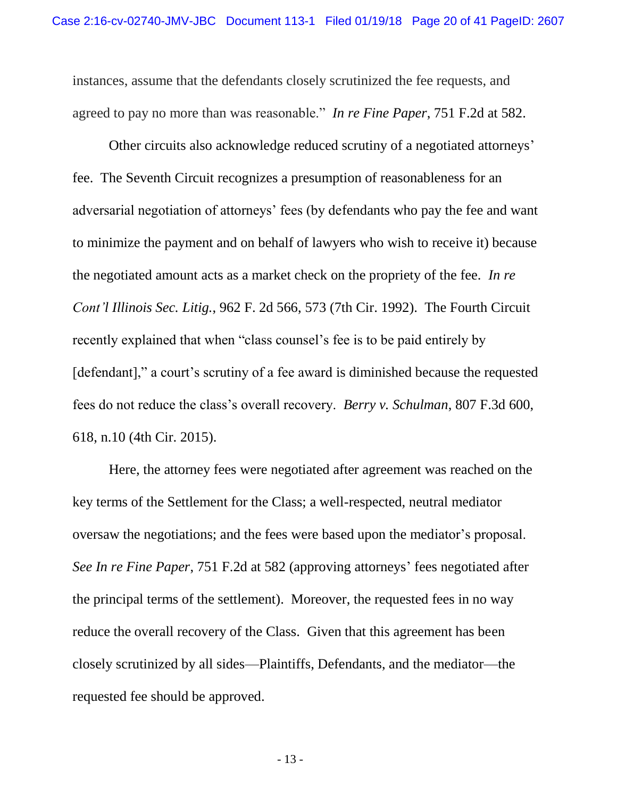<span id="page-23-2"></span>instances, assume that the defendants closely scrutinized the fee requests, and agreed to pay no more than was reasonable." *In re Fine Paper*, 751 F.2d at 582.

<span id="page-23-1"></span>Other circuits also acknowledge reduced scrutiny of a negotiated attorneys' fee. The Seventh Circuit recognizes a presumption of reasonableness for an adversarial negotiation of attorneys' fees (by defendants who pay the fee and want to minimize the payment and on behalf of lawyers who wish to receive it) because the negotiated amount acts as a market check on the propriety of the fee. *In re Cont'l Illinois Sec. Litig.*, 962 F. 2d 566, 573 (7th Cir. 1992). The Fourth Circuit recently explained that when "class counsel's fee is to be paid entirely by [defendant]," a court's scrutiny of a fee award is diminished because the requested fees do not reduce the class's overall recovery. *Berry v. Schulman*, 807 F.3d 600, 618, n.10 (4th Cir. 2015).

<span id="page-23-0"></span>Here, the attorney fees were negotiated after agreement was reached on the key terms of the Settlement for the Class; a well-respected, neutral mediator oversaw the negotiations; and the fees were based upon the mediator's proposal. *See In re Fine Paper*, 751 F.2d at 582 (approving attorneys' fees negotiated after the principal terms of the settlement). Moreover, the requested fees in no way reduce the overall recovery of the Class. Given that this agreement has been closely scrutinized by all sides—Plaintiffs, Defendants, and the mediator—the requested fee should be approved.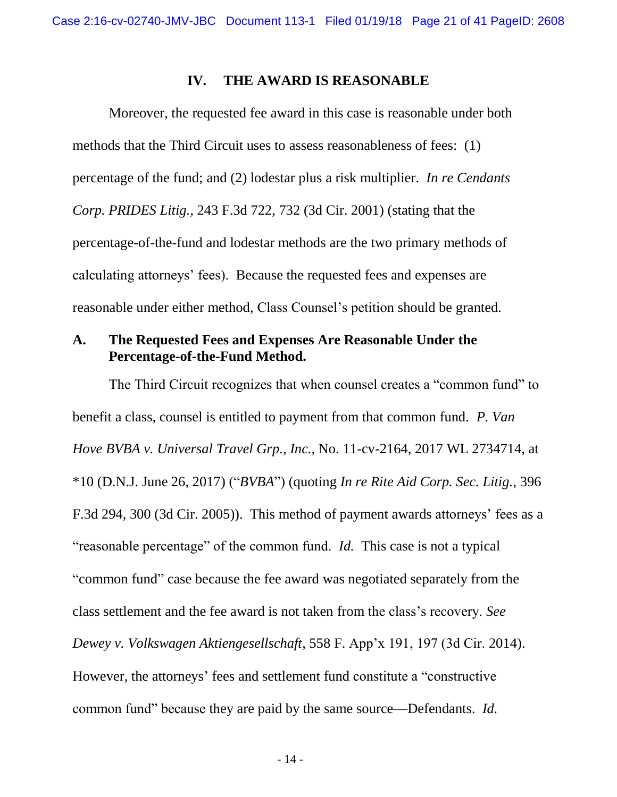#### <span id="page-24-2"></span>**IV. THE AWARD IS REASONABLE**

<span id="page-24-0"></span>Moreover, the requested fee award in this case is reasonable under both methods that the Third Circuit uses to assess reasonableness of fees: (1) percentage of the fund; and (2) lodestar plus a risk multiplier. *In re Cendants Corp. PRIDES Litig.,* 243 F.3d 722, 732 (3d Cir. 2001) (stating that the percentage-of-the-fund and lodestar methods are the two primary methods of calculating attorneys' fees). Because the requested fees and expenses are reasonable under either method, Class Counsel's petition should be granted.

### <span id="page-24-1"></span>**A. The Requested Fees and Expenses Are Reasonable Under the Percentage-of-the-Fund Method.**

<span id="page-24-5"></span><span id="page-24-4"></span><span id="page-24-3"></span>The Third Circuit recognizes that when counsel creates a "common fund" to benefit a class, counsel is entitled to payment from that common fund. *P. Van Hove BVBA v. Universal Travel Grp., Inc.,* No. 11-cv-2164, 2017 WL 2734714, at \*10 (D.N.J. June 26, 2017) ("*BVBA*") (quoting *In re Rite Aid Corp. Sec. Litig.*, 396 F.3d 294, 300 (3d Cir. 2005)). This method of payment awards attorneys' fees as a "reasonable percentage" of the common fund. *Id.* This case is not a typical "common fund" case because the fee award was negotiated separately from the class settlement and the fee award is not taken from the class's recovery. *See Dewey v. Volkswagen Aktiengesellschaft*, 558 F. App'x 191, 197 (3d Cir. 2014). However, the attorneys' fees and settlement fund constitute a "constructive common fund" because they are paid by the same source—Defendants. *Id.*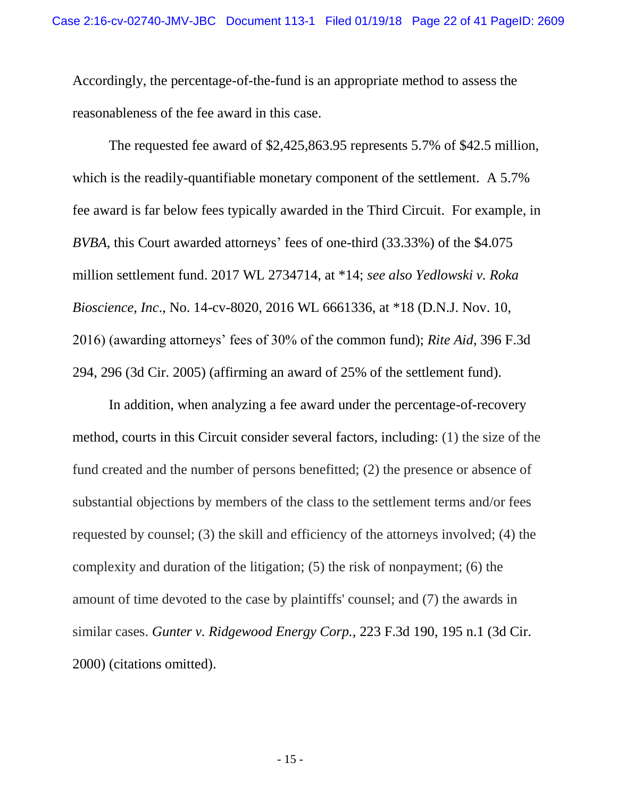Accordingly, the percentage-of-the-fund is an appropriate method to assess the reasonableness of the fee award in this case.

<span id="page-25-2"></span>The requested fee award of \$2,425,863.95 represents 5.7% of \$42.5 million, which is the readily-quantifiable monetary component of the settlement. A 5.7% fee award is far below fees typically awarded in the Third Circuit. For example, in *BVBA*, this Court awarded attorneys' fees of one-third (33.33%) of the \$4.075 million settlement fund. 2017 WL 2734714, at \*14; *see also Yedlowski v. Roka Bioscience, Inc*., No. 14-cv-8020, 2016 WL 6661336, at \*18 (D.N.J. Nov. 10, 2016) (awarding attorneys' fees of 30% of the common fund); *Rite Aid*, 396 F.3d 294, 296 (3d Cir. 2005) (affirming an award of 25% of the settlement fund).

<span id="page-25-1"></span><span id="page-25-0"></span>In addition, when analyzing a fee award under the percentage-of-recovery method, courts in this Circuit consider several factors, including: (1) the size of the fund created and the number of persons benefitted; (2) the presence or absence of substantial objections by members of the class to the settlement terms and/or fees requested by counsel; (3) the skill and efficiency of the attorneys involved; (4) the complexity and duration of the litigation; (5) the risk of nonpayment; (6) the amount of time devoted to the case by plaintiffs' counsel; and (7) the awards in similar cases. *Gunter v. Ridgewood Energy Corp.,* 223 F.3d 190, 195 n.1 (3d Cir. 2000) (citations omitted).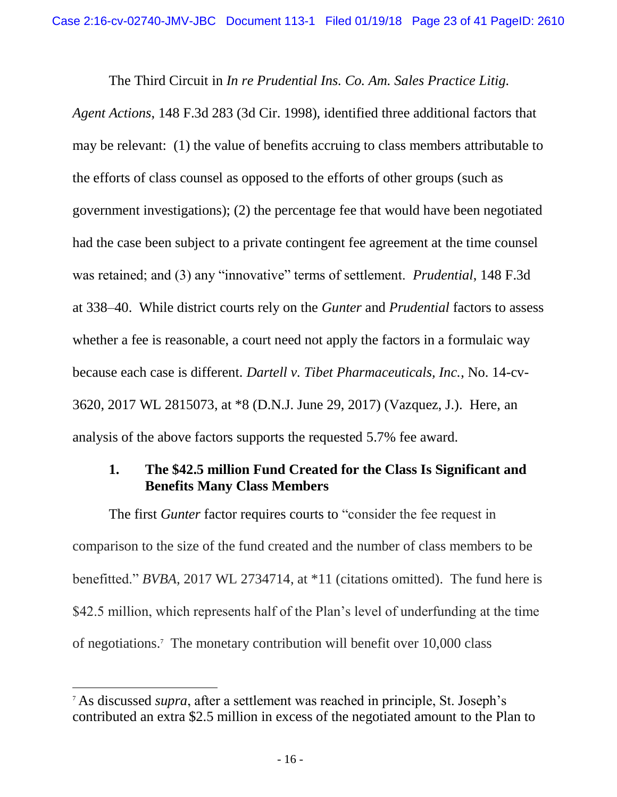<span id="page-26-3"></span>The Third Circuit in *In re Prudential Ins. Co. Am. Sales Practice Litig.* 

*Agent Actions*, 148 F.3d 283 (3d Cir. 1998), identified three additional factors that may be relevant: (1) the value of benefits accruing to class members attributable to the efforts of class counsel as opposed to the efforts of other groups (such as government investigations); (2) the percentage fee that would have been negotiated had the case been subject to a private contingent fee agreement at the time counsel was retained; and (3) any "innovative" terms of settlement. *Prudential*, 148 F.3d at 338–40. While district courts rely on the *Gunter* and *Prudential* factors to assess whether a fee is reasonable, a court need not apply the factors in a formulaic way because each case is different. *Dartell v. Tibet Pharmaceuticals, Inc.*, No. 14-cv-3620, 2017 WL 2815073, at \*8 (D.N.J. June 29, 2017) (Vazquez, J.). Here, an analysis of the above factors supports the requested 5.7% fee award.

## <span id="page-26-2"></span><span id="page-26-1"></span><span id="page-26-0"></span>**1. The \$42.5 million Fund Created for the Class Is Significant and Benefits Many Class Members**

The first *Gunter* factor requires courts to "consider the fee request in comparison to the size of the fund created and the number of class members to be benefitted." *BVBA*, 2017 WL 2734714, at \*11 (citations omitted). The fund here is \$42.5 million, which represents half of the Plan's level of underfunding at the time of negotiations.<sup>7</sup> The monetary contribution will benefit over 10,000 class

 $\overline{\phantom{a}}$ 

<sup>7</sup> As discussed *supra*, after a settlement was reached in principle, St. Joseph's contributed an extra \$2.5 million in excess of the negotiated amount to the Plan to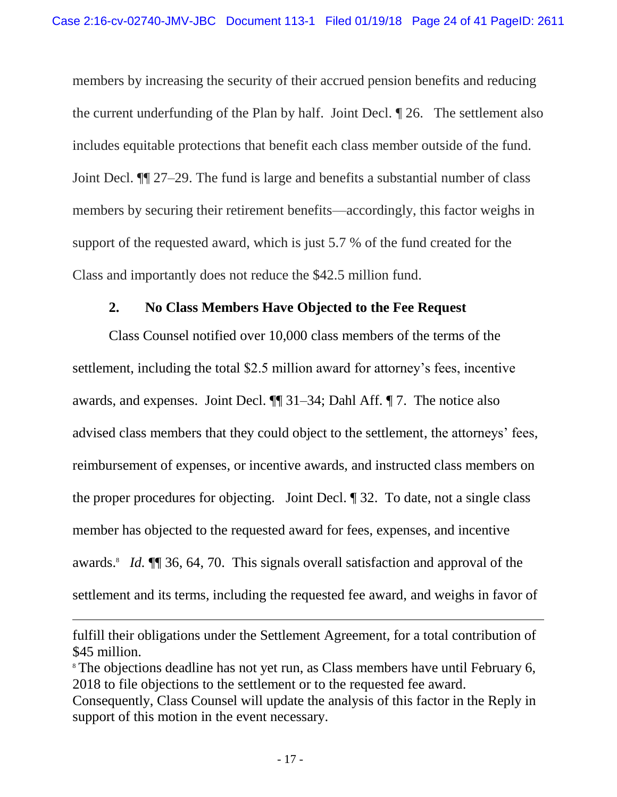members by increasing the security of their accrued pension benefits and reducing the current underfunding of the Plan by half. Joint Decl. ¶ 26. The settlement also includes equitable protections that benefit each class member outside of the fund. Joint Decl. ¶¶ 27–29. The fund is large and benefits a substantial number of class members by securing their retirement benefits—accordingly, this factor weighs in support of the requested award, which is just 5.7 % of the fund created for the Class and importantly does not reduce the \$42.5 million fund.

#### **2. No Class Members Have Objected to the Fee Request**

<span id="page-27-0"></span>Class Counsel notified over 10,000 class members of the terms of the settlement, including the total \$2.5 million award for attorney's fees, incentive awards, and expenses. Joint Decl. ¶¶ 31–34; Dahl Aff. ¶ 7. The notice also advised class members that they could object to the settlement, the attorneys' fees, reimbursement of expenses, or incentive awards, and instructed class members on the proper procedures for objecting. Joint Decl. ¶ 32. To date, not a single class member has objected to the requested award for fees, expenses, and incentive awards.<sup>8</sup> *Id.*  $\P$  36, 64, 70. This signals overall satisfaction and approval of the settlement and its terms, including the requested fee award, and weighs in favor of

 $\overline{a}$ 

fulfill their obligations under the Settlement Agreement, for a total contribution of \$45 million.

<sup>&</sup>lt;sup>8</sup> The objections deadline has not yet run, as Class members have until February 6, 2018 to file objections to the settlement or to the requested fee award.

Consequently, Class Counsel will update the analysis of this factor in the Reply in support of this motion in the event necessary.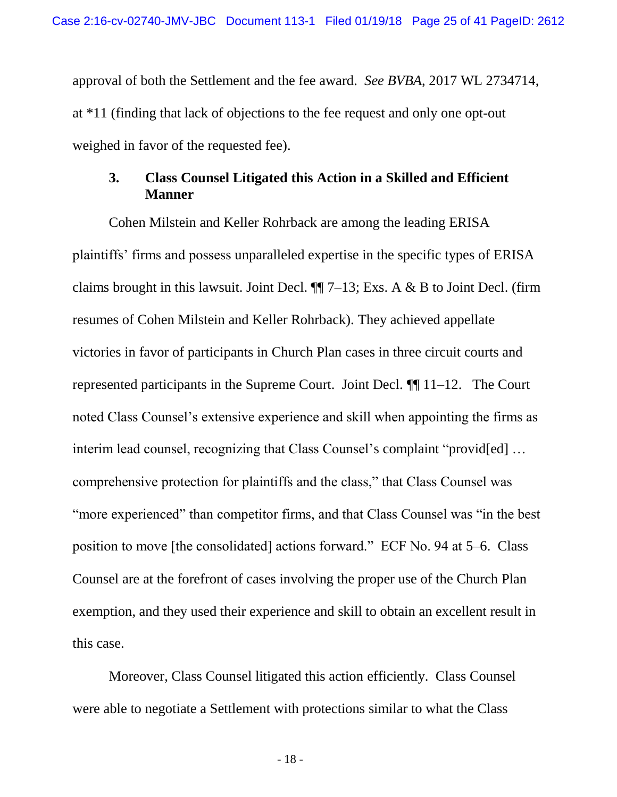approval of both the Settlement and the fee award. *See BVBA*, 2017 WL 2734714, at \*11 (finding that lack of objections to the fee request and only one opt-out weighed in favor of the requested fee).

### <span id="page-28-0"></span>**3. Class Counsel Litigated this Action in a Skilled and Efficient Manner**

Cohen Milstein and Keller Rohrback are among the leading ERISA plaintiffs' firms and possess unparalleled expertise in the specific types of ERISA claims brought in this lawsuit. Joint Decl.  $\P$  7–13; Exs. A & B to Joint Decl. (firm resumes of Cohen Milstein and Keller Rohrback). They achieved appellate victories in favor of participants in Church Plan cases in three circuit courts and represented participants in the Supreme Court. Joint Decl. ¶¶ 11–12. The Court noted Class Counsel's extensive experience and skill when appointing the firms as interim lead counsel, recognizing that Class Counsel's complaint "provided] ... comprehensive protection for plaintiffs and the class," that Class Counsel was "more experienced" than competitor firms, and that Class Counsel was "in the best position to move [the consolidated] actions forward." ECF No. 94 at 5–6. Class Counsel are at the forefront of cases involving the proper use of the Church Plan exemption, and they used their experience and skill to obtain an excellent result in this case.

Moreover, Class Counsel litigated this action efficiently. Class Counsel were able to negotiate a Settlement with protections similar to what the Class

- 18 -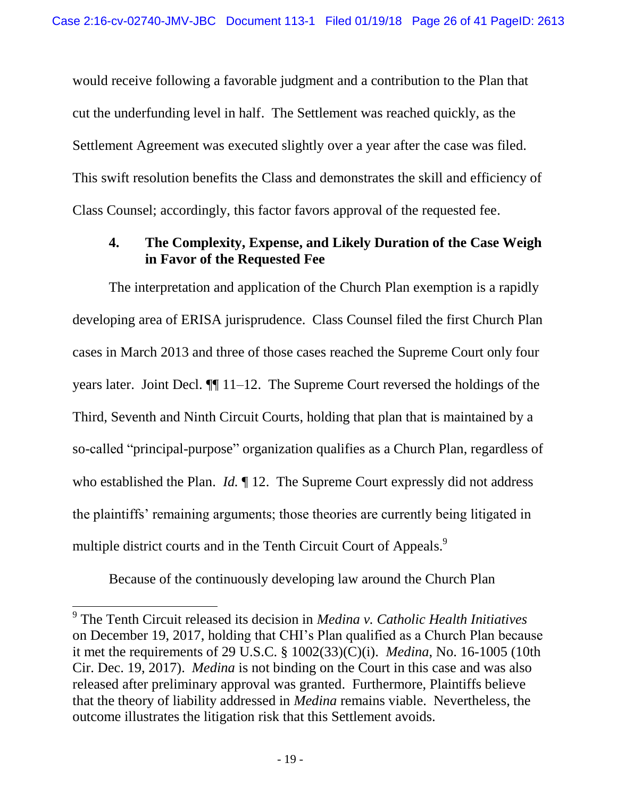would receive following a favorable judgment and a contribution to the Plan that cut the underfunding level in half. The Settlement was reached quickly, as the Settlement Agreement was executed slightly over a year after the case was filed. This swift resolution benefits the Class and demonstrates the skill and efficiency of Class Counsel; accordingly, this factor favors approval of the requested fee.

# <span id="page-29-0"></span>**4. The Complexity, Expense, and Likely Duration of the Case Weigh in Favor of the Requested Fee**

The interpretation and application of the Church Plan exemption is a rapidly developing area of ERISA jurisprudence. Class Counsel filed the first Church Plan cases in March 2013 and three of those cases reached the Supreme Court only four years later. Joint Decl. ¶¶ 11–12. The Supreme Court reversed the holdings of the Third, Seventh and Ninth Circuit Courts, holding that plan that is maintained by a so-called "principal-purpose" organization qualifies as a Church Plan, regardless of who established the Plan. *Id.* ¶ 12. The Supreme Court expressly did not address the plaintiffs' remaining arguments; those theories are currently being litigated in multiple district courts and in the Tenth Circuit Court of Appeals.<sup>9</sup>

<span id="page-29-1"></span>Because of the continuously developing law around the Church Plan

 $\overline{a}$ 

<sup>9</sup> The Tenth Circuit released its decision in *Medina v. Catholic Health Initiatives* on December 19, 2017, holding that CHI's Plan qualified as a Church Plan because it met the requirements of 29 U.S.C. § 1002(33)(C)(i). *Medina*, No. 16-1005 (10th Cir. Dec. 19, 2017). *Medina* is not binding on the Court in this case and was also released after preliminary approval was granted. Furthermore, Plaintiffs believe that the theory of liability addressed in *Medina* remains viable. Nevertheless, the outcome illustrates the litigation risk that this Settlement avoids.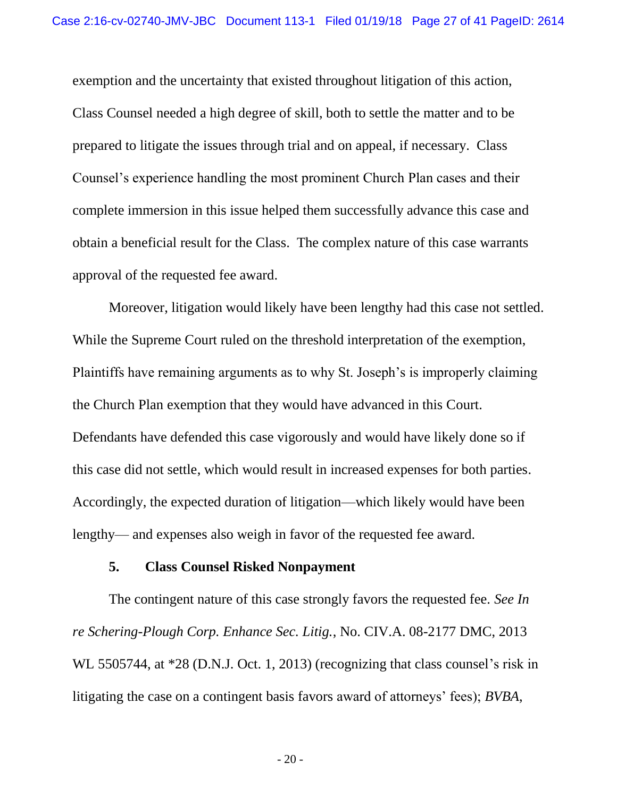exemption and the uncertainty that existed throughout litigation of this action, Class Counsel needed a high degree of skill, both to settle the matter and to be prepared to litigate the issues through trial and on appeal, if necessary. Class Counsel's experience handling the most prominent Church Plan cases and their complete immersion in this issue helped them successfully advance this case and obtain a beneficial result for the Class. The complex nature of this case warrants approval of the requested fee award.

Moreover, litigation would likely have been lengthy had this case not settled. While the Supreme Court ruled on the threshold interpretation of the exemption, Plaintiffs have remaining arguments as to why St. Joseph's is improperly claiming the Church Plan exemption that they would have advanced in this Court. Defendants have defended this case vigorously and would have likely done so if this case did not settle, which would result in increased expenses for both parties. Accordingly, the expected duration of litigation—which likely would have been lengthy— and expenses also weigh in favor of the requested fee award.

#### <span id="page-30-1"></span>**5. Class Counsel Risked Nonpayment**

<span id="page-30-0"></span>The contingent nature of this case strongly favors the requested fee. *See In re Schering-Plough Corp. Enhance Sec. Litig.*, No. CIV.A. 08-2177 DMC, 2013 WL 5505744, at \*28 (D.N.J. Oct. 1, 2013) (recognizing that class counsel's risk in litigating the case on a contingent basis favors award of attorneys' fees); *BVBA*,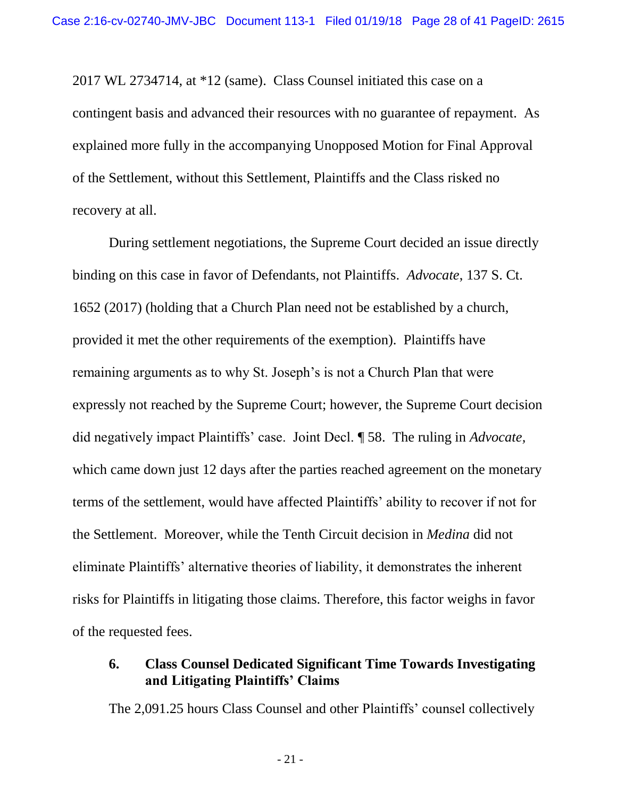2017 WL 2734714, at \*12 (same). Class Counsel initiated this case on a contingent basis and advanced their resources with no guarantee of repayment. As explained more fully in the accompanying Unopposed Motion for Final Approval of the Settlement, without this Settlement, Plaintiffs and the Class risked no recovery at all.

<span id="page-31-1"></span>During settlement negotiations, the Supreme Court decided an issue directly binding on this case in favor of Defendants, not Plaintiffs. *Advocate*, 137 S. Ct. 1652 (2017) (holding that a Church Plan need not be established by a church, provided it met the other requirements of the exemption). Plaintiffs have remaining arguments as to why St. Joseph's is not a Church Plan that were expressly not reached by the Supreme Court; however, the Supreme Court decision did negatively impact Plaintiffs' case. Joint Decl. ¶ 58. The ruling in *Advocate,*  which came down just 12 days after the parties reached agreement on the monetary terms of the settlement, would have affected Plaintiffs' ability to recover if not for the Settlement. Moreover, while the Tenth Circuit decision in *Medina* did not eliminate Plaintiffs' alternative theories of liability, it demonstrates the inherent risks for Plaintiffs in litigating those claims. Therefore, this factor weighs in favor of the requested fees.

## <span id="page-31-2"></span><span id="page-31-0"></span>**6. Class Counsel Dedicated Significant Time Towards Investigating and Litigating Plaintiffs' Claims**

The 2,091.25 hours Class Counsel and other Plaintiffs' counsel collectively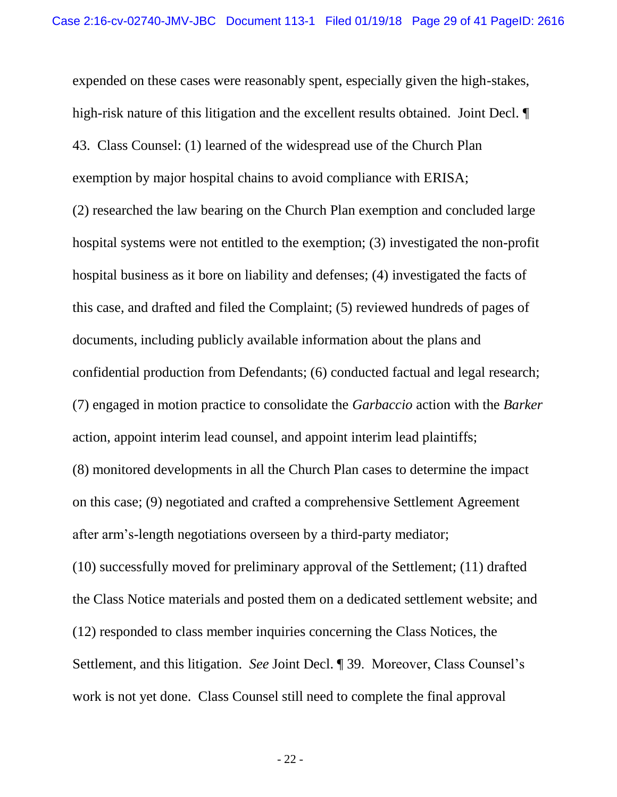<span id="page-32-0"></span>expended on these cases were reasonably spent, especially given the high-stakes, high-risk nature of this litigation and the excellent results obtained. Joint Decl.  $\P$ 43. Class Counsel: (1) learned of the widespread use of the Church Plan exemption by major hospital chains to avoid compliance with ERISA; (2) researched the law bearing on the Church Plan exemption and concluded large hospital systems were not entitled to the exemption; (3) investigated the non-profit hospital business as it bore on liability and defenses; (4) investigated the facts of this case, and drafted and filed the Complaint; (5) reviewed hundreds of pages of documents, including publicly available information about the plans and confidential production from Defendants; (6) conducted factual and legal research; (7) engaged in motion practice to consolidate the *Garbaccio* action with the *Barker*  action, appoint interim lead counsel, and appoint interim lead plaintiffs; (8) monitored developments in all the Church Plan cases to determine the impact on this case; (9) negotiated and crafted a comprehensive Settlement Agreement after arm's-length negotiations overseen by a third-party mediator; (10) successfully moved for preliminary approval of the Settlement; (11) drafted the Class Notice materials and posted them on a dedicated settlement website; and (12) responded to class member inquiries concerning the Class Notices, the Settlement, and this litigation. *See* Joint Decl. ¶ 39. Moreover, Class Counsel's work is not yet done. Class Counsel still need to complete the final approval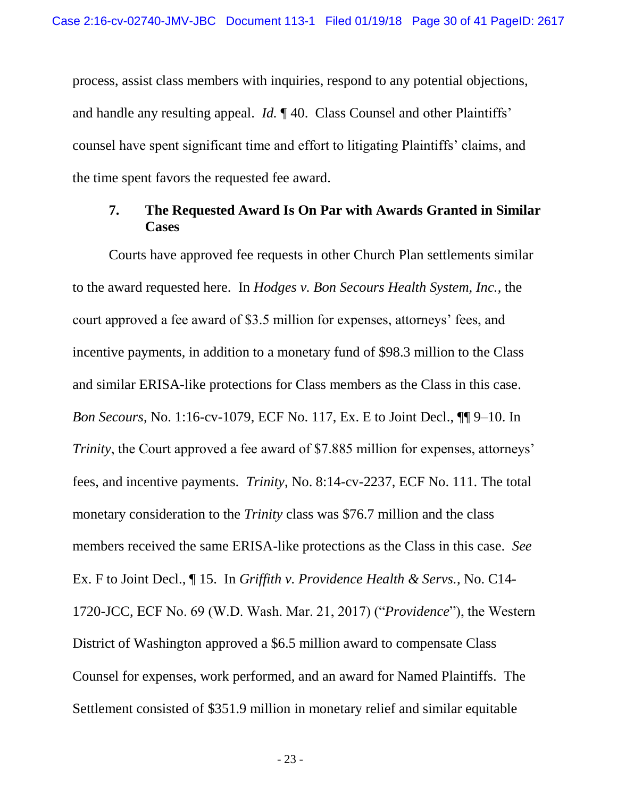process, assist class members with inquiries, respond to any potential objections, and handle any resulting appeal. *Id.* ¶ 40. Class Counsel and other Plaintiffs' counsel have spent significant time and effort to litigating Plaintiffs' claims, and the time spent favors the requested fee award.

#### <span id="page-33-0"></span>**7. The Requested Award Is On Par with Awards Granted in Similar Cases**

<span id="page-33-1"></span>Courts have approved fee requests in other Church Plan settlements similar to the award requested here. In *Hodges v. Bon Secours Health System, Inc.*, the court approved a fee award of \$3.5 million for expenses, attorneys' fees, and incentive payments, in addition to a monetary fund of \$98.3 million to the Class and similar ERISA-like protections for Class members as the Class in this case. *Bon Secours*, No. 1:16-cv-1079, ECF No. 117, Ex. E to Joint Decl., ¶¶ 9–10. In *Trinity*, the Court approved a fee award of \$7.885 million for expenses, attorneys' fees, and incentive payments. *Trinity*, No. 8:14-cv-2237, ECF No. 111. The total monetary consideration to the *Trinity* class was \$76.7 million and the class members received the same ERISA-like protections as the Class in this case. *See*  Ex. F to Joint Decl., ¶ 15. In *Griffith v. Providence Health & Servs.*, No. C14- 1720-JCC, ECF No. 69 (W.D. Wash. Mar. 21, 2017) ("*Providence*"), the Western District of Washington approved a \$6.5 million award to compensate Class Counsel for expenses, work performed, and an award for Named Plaintiffs. The Settlement consisted of \$351.9 million in monetary relief and similar equitable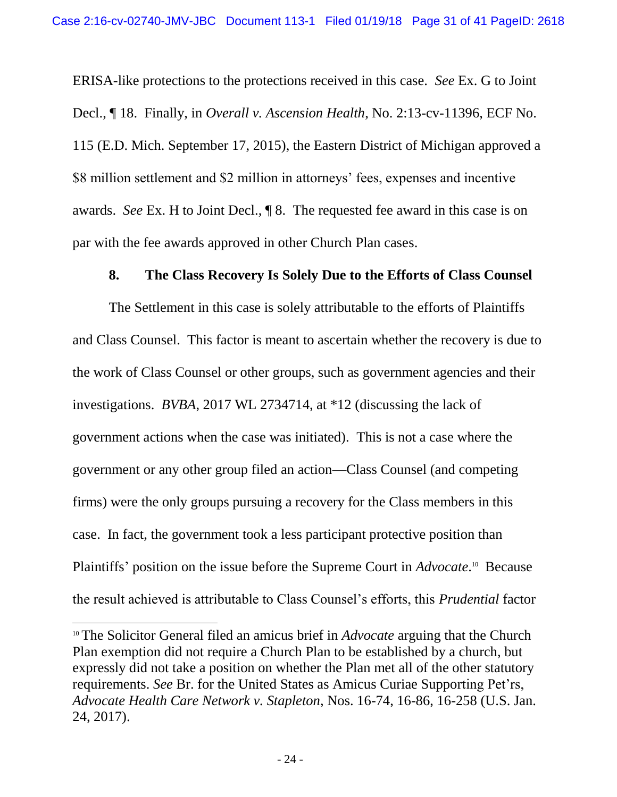<span id="page-34-2"></span>ERISA-like protections to the protections received in this case. *See* Ex. G to Joint Decl., ¶ 18. Finally, in *Overall v. Ascension Health*, No. 2:13-cv-11396, ECF No. 115 (E.D. Mich. September 17, 2015), the Eastern District of Michigan approved a \$8 million settlement and \$2 million in attorneys' fees, expenses and incentive awards. *See* Ex. H to Joint Decl., ¶ 8. The requested fee award in this case is on par with the fee awards approved in other Church Plan cases.

#### **8. The Class Recovery Is Solely Due to the Efforts of Class Counsel**

<span id="page-34-0"></span>The Settlement in this case is solely attributable to the efforts of Plaintiffs and Class Counsel. This factor is meant to ascertain whether the recovery is due to the work of Class Counsel or other groups, such as government agencies and their investigations. *BVBA*, 2017 WL 2734714, at \*12 (discussing the lack of government actions when the case was initiated). This is not a case where the government or any other group filed an action—Class Counsel (and competing firms) were the only groups pursuing a recovery for the Class members in this case. In fact, the government took a less participant protective position than Plaintiffs' position on the issue before the Supreme Court in *Advocate*.<sup>10</sup> Because the result achieved is attributable to Class Counsel's efforts, this *Prudential* factor

<span id="page-34-3"></span> $\overline{\phantom{a}}$ 

<span id="page-34-1"></span><sup>10</sup> The Solicitor General filed an amicus brief in *Advocate* arguing that the Church Plan exemption did not require a Church Plan to be established by a church, but expressly did not take a position on whether the Plan met all of the other statutory requirements. *See* Br. for the United States as Amicus Curiae Supporting Pet'rs, *Advocate Health Care Network v. Stapleton*, Nos. 16-74, 16-86, 16-258 (U.S. Jan. 24, 2017).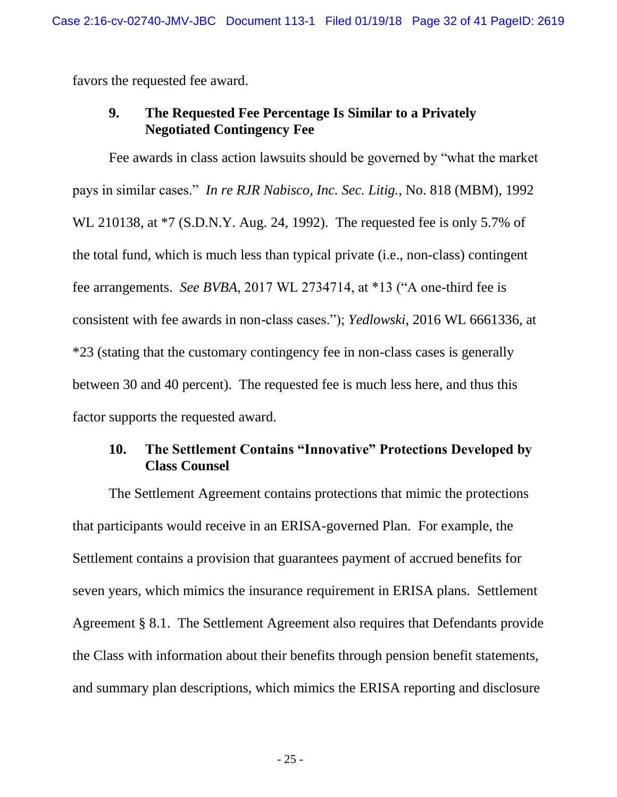<span id="page-35-0"></span>favors the requested fee award.

### <span id="page-35-2"></span>**9. The Requested Fee Percentage Is Similar to a Privately Negotiated Contingency Fee**

Fee awards in class action lawsuits should be governed by "what the market pays in similar cases." *In re RJR Nabisco, Inc. Sec. Litig.*, No. 818 (MBM), 1992 WL 210138, at \*7 (S.D.N.Y. Aug. 24, 1992). The requested fee is only 5.7% of the total fund, which is much less than typical private (i.e., non-class) contingent fee arrangements. *See BVBA*, 2017 WL 2734714, at \*13 ("A one-third fee is consistent with fee awards in non-class cases."); *Yedlowski*, 2016 WL 6661336, at \*23 (stating that the customary contingency fee in non-class cases is generally between 30 and 40 percent). The requested fee is much less here, and thus this factor supports the requested award.

# <span id="page-35-3"></span><span id="page-35-1"></span>**10. The Settlement Contains "Innovative" Protections Developed by Class Counsel**

The Settlement Agreement contains protections that mimic the protections that participants would receive in an ERISA-governed Plan. For example, the Settlement contains a provision that guarantees payment of accrued benefits for seven years, which mimics the insurance requirement in ERISA plans. Settlement Agreement § 8.1. The Settlement Agreement also requires that Defendants provide the Class with information about their benefits through pension benefit statements, and summary plan descriptions, which mimics the ERISA reporting and disclosure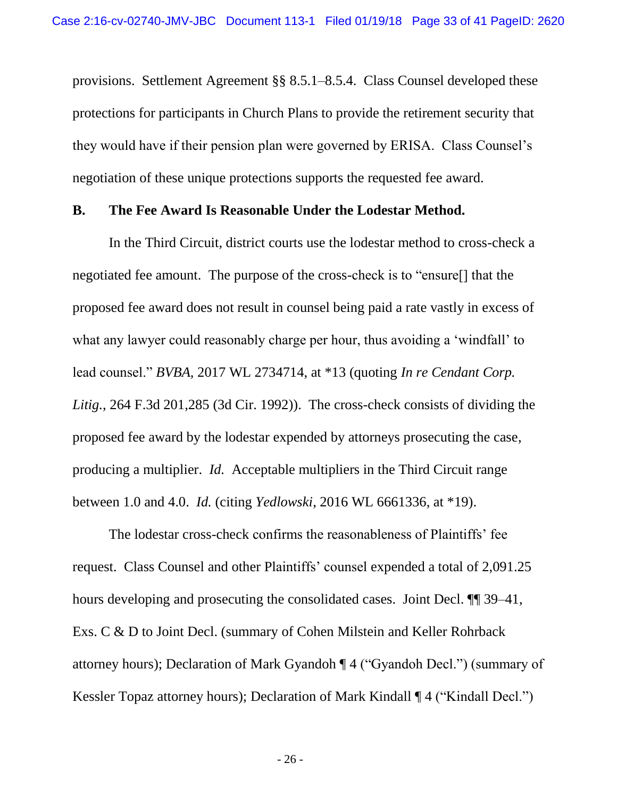provisions. Settlement Agreement §§ 8.5.1–8.5.4. Class Counsel developed these protections for participants in Church Plans to provide the retirement security that they would have if their pension plan were governed by ERISA. Class Counsel's negotiation of these unique protections supports the requested fee award.

#### <span id="page-36-0"></span>**B. The Fee Award Is Reasonable Under the Lodestar Method.**

<span id="page-36-1"></span>In the Third Circuit, district courts use the lodestar method to cross-check a negotiated fee amount. The purpose of the cross-check is to "ensure[] that the proposed fee award does not result in counsel being paid a rate vastly in excess of what any lawyer could reasonably charge per hour, thus avoiding a 'windfall' to lead counsel." *BVBA*, 2017 WL 2734714, at \*13 (quoting *In re Cendant Corp. Litig.*, 264 F.3d 201,285 (3d Cir. 1992)). The cross-check consists of dividing the proposed fee award by the lodestar expended by attorneys prosecuting the case, producing a multiplier. *Id.* Acceptable multipliers in the Third Circuit range between 1.0 and 4.0. *Id.* (citing *Yedlowski*, 2016 WL 6661336, at \*19).

<span id="page-36-2"></span>The lodestar cross-check confirms the reasonableness of Plaintiffs' fee request. Class Counsel and other Plaintiffs' counsel expended a total of 2,091.25 hours developing and prosecuting the consolidated cases. Joint Decl. ¶¶ 39–41, Exs. C & D to Joint Decl. (summary of Cohen Milstein and Keller Rohrback attorney hours); Declaration of Mark Gyandoh ¶ 4 ("Gyandoh Decl.") (summary of Kessler Topaz attorney hours); Declaration of Mark Kindall ¶ 4 ("Kindall Decl.")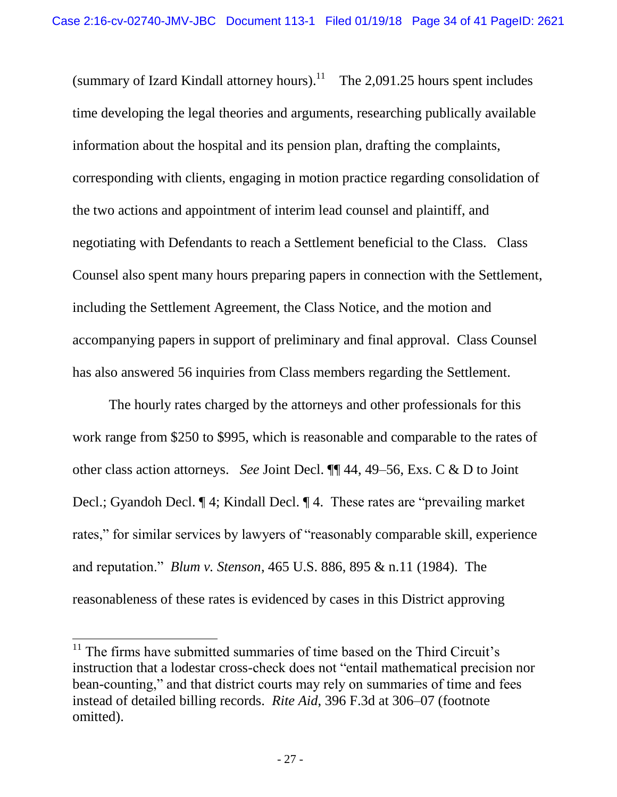(summary of Izard Kindall attorney hours).<sup>11</sup> The 2,091.25 hours spent includes time developing the legal theories and arguments, researching publically available information about the hospital and its pension plan, drafting the complaints, corresponding with clients, engaging in motion practice regarding consolidation of the two actions and appointment of interim lead counsel and plaintiff, and negotiating with Defendants to reach a Settlement beneficial to the Class. Class Counsel also spent many hours preparing papers in connection with the Settlement, including the Settlement Agreement, the Class Notice, and the motion and accompanying papers in support of preliminary and final approval. Class Counsel has also answered 56 inquiries from Class members regarding the Settlement.

The hourly rates charged by the attorneys and other professionals for this work range from \$250 to \$995, which is reasonable and comparable to the rates of other class action attorneys. *See* Joint Decl. ¶¶ 44, 49–56, Exs. C & D to Joint Decl.; Gyandoh Decl. ¶ 4; Kindall Decl. ¶ 4. These rates are "prevailing market rates," for similar services by lawyers of "reasonably comparable skill, experience and reputation." *Blum v. Stenson*, 465 U.S. 886, 895 & n.11 (1984). The reasonableness of these rates is evidenced by cases in this District approving

<span id="page-37-0"></span> $\overline{\phantom{a}}$ 

<span id="page-37-1"></span> $11$  The firms have submitted summaries of time based on the Third Circuit's instruction that a lodestar cross-check does not "entail mathematical precision nor bean-counting," and that district courts may rely on summaries of time and fees instead of detailed billing records. *Rite Aid*, 396 F.3d at 306–07 (footnote omitted).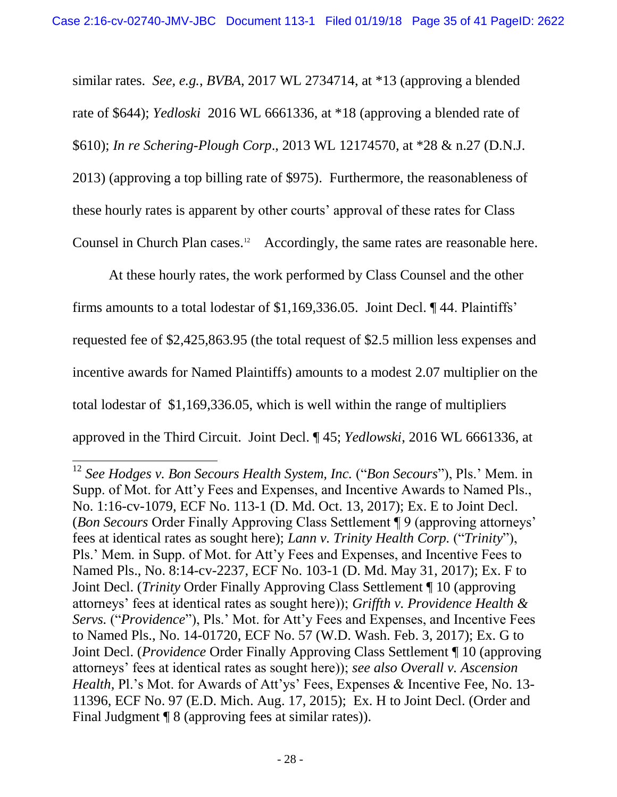<span id="page-38-3"></span><span id="page-38-2"></span>similar rates. *See, e.g.*, *BVBA*, 2017 WL 2734714, at \*13 (approving a blended rate of \$644); *Yedloski* 2016 WL 6661336, at \*18 (approving a blended rate of \$610); *In re Schering-Plough Corp*., 2013 WL 12174570, at \*28 & n.27 (D.N.J. 2013) (approving a top billing rate of \$975). Furthermore, the reasonableness of these hourly rates is apparent by other courts' approval of these rates for Class Counsel in Church Plan cases.<sup>12</sup> Accordingly, the same rates are reasonable here.

At these hourly rates, the work performed by Class Counsel and the other firms amounts to a total lodestar of \$1,169,336.05. Joint Decl. ¶ 44. Plaintiffs' requested fee of \$2,425,863.95 (the total request of \$2.5 million less expenses and incentive awards for Named Plaintiffs) amounts to a modest 2.07 multiplier on the total lodestar of \$1,169,336.05, which is well within the range of multipliers approved in the Third Circuit. Joint Decl. ¶ 45; *Yedlowski*, 2016 WL 6661336, at

 $\overline{\phantom{a}}$ 

<span id="page-38-1"></span><span id="page-38-0"></span><sup>12</sup> *See Hodges v. Bon Secours Health System, Inc.* ("*Bon Secours*"), Pls.' Mem. in Supp. of Mot. for Att'y Fees and Expenses, and Incentive Awards to Named Pls., No. 1:16-cv-1079, ECF No. 113-1 (D. Md. Oct. 13, 2017); Ex. E to Joint Decl. (*Bon Secours* Order Finally Approving Class Settlement ¶ 9 (approving attorneys' fees at identical rates as sought here); *Lann v. Trinity Health Corp.* ("*Trinity*"), Pls.' Mem. in Supp. of Mot. for Att'y Fees and Expenses, and Incentive Fees to Named Pls., No. 8:14-cv-2237, ECF No. 103-1 (D. Md. May 31, 2017); Ex. F to Joint Decl. (*Trinity* Order Finally Approving Class Settlement ¶ 10 (approving attorneys' fees at identical rates as sought here)); *Griffth v. Providence Health & Servs.* ("*Providence*"), Pls.' Mot. for Att'y Fees and Expenses, and Incentive Fees to Named Pls., No. 14-01720, ECF No. 57 (W.D. Wash. Feb. 3, 2017); Ex. G to Joint Decl. (*Providence* Order Finally Approving Class Settlement ¶ 10 (approving attorneys' fees at identical rates as sought here)); *see also Overall v. Ascension Health*, Pl.'s Mot. for Awards of Att'ys' Fees, Expenses & Incentive Fee, No. 13-11396, ECF No. 97 (E.D. Mich. Aug. 17, 2015); Ex. H to Joint Decl. (Order and Final Judgment ¶ 8 (approving fees at similar rates)).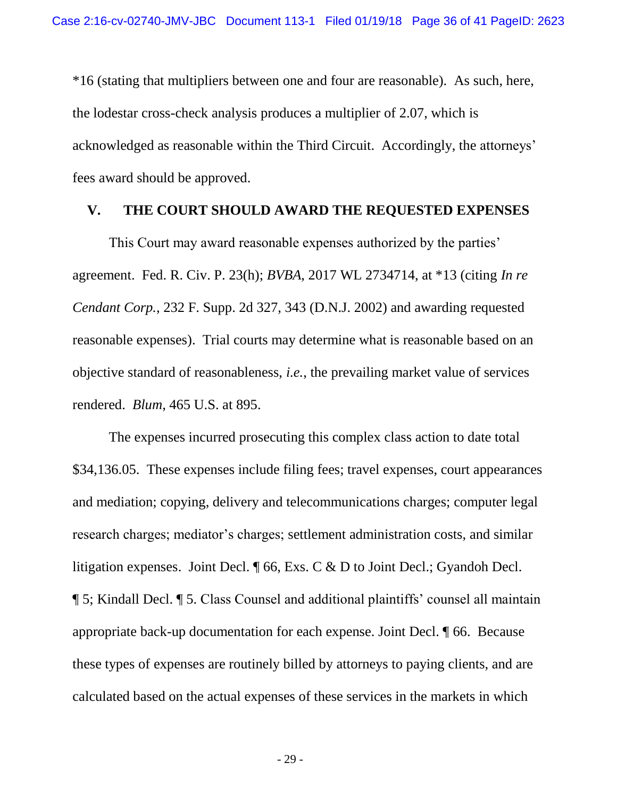\*16 (stating that multipliers between one and four are reasonable). As such, here, the lodestar cross-check analysis produces a multiplier of 2.07, which is acknowledged as reasonable within the Third Circuit. Accordingly, the attorneys' fees award should be approved.

#### <span id="page-39-2"></span><span id="page-39-0"></span>**V. THE COURT SHOULD AWARD THE REQUESTED EXPENSES**

<span id="page-39-3"></span>This Court may award reasonable expenses authorized by the parties' agreement. Fed. R. Civ. P. 23(h); *BVBA*, 2017 WL 2734714, at \*13 (citing *In re Cendant Corp.*, 232 F. Supp. 2d 327, 343 (D.N.J. 2002) and awarding requested reasonable expenses). Trial courts may determine what is reasonable based on an objective standard of reasonableness, *i.e.*, the prevailing market value of services rendered. *Blum*, 465 U.S. at 895.

<span id="page-39-1"></span>The expenses incurred prosecuting this complex class action to date total \$34,136.05. These expenses include filing fees; travel expenses, court appearances and mediation; copying, delivery and telecommunications charges; computer legal research charges; mediator's charges; settlement administration costs, and similar litigation expenses. Joint Decl. ¶ 66, Exs. C & D to Joint Decl.; Gyandoh Decl. ¶ 5; Kindall Decl. ¶ 5. Class Counsel and additional plaintiffs' counsel all maintain appropriate back-up documentation for each expense. Joint Decl. ¶ 66. Because these types of expenses are routinely billed by attorneys to paying clients, and are calculated based on the actual expenses of these services in the markets in which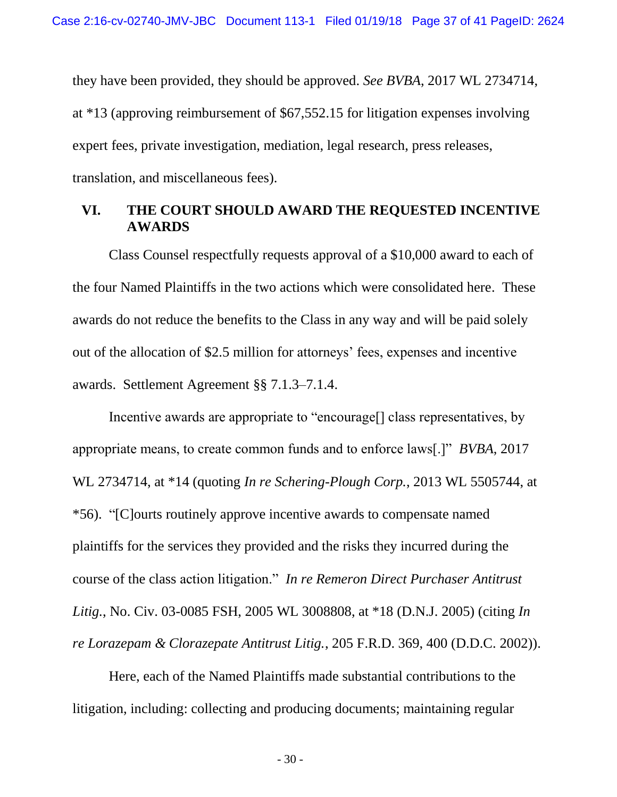they have been provided, they should be approved. *See BVBA*, 2017 WL 2734714, at \*13 (approving reimbursement of \$67,552.15 for litigation expenses involving expert fees, private investigation, mediation, legal research, press releases, translation, and miscellaneous fees).

#### <span id="page-40-0"></span>**VI. THE COURT SHOULD AWARD THE REQUESTED INCENTIVE AWARDS**

Class Counsel respectfully requests approval of a \$10,000 award to each of the four Named Plaintiffs in the two actions which were consolidated here. These awards do not reduce the benefits to the Class in any way and will be paid solely out of the allocation of \$2.5 million for attorneys' fees, expenses and incentive awards. Settlement Agreement §§ 7.1.3–7.1.4.

<span id="page-40-3"></span>Incentive awards are appropriate to "encourage<sup>[]</sup> class representatives, by appropriate means, to create common funds and to enforce laws[.]" *BVBA*, 2017 WL 2734714, at \*14 (quoting *In re Schering-Plough Corp.*, 2013 WL 5505744, at \*56). "[C]ourts routinely approve incentive awards to compensate named plaintiffs for the services they provided and the risks they incurred during the course of the class action litigation." *In re Remeron Direct Purchaser Antitrust Litig.*, No. Civ. 03-0085 FSH, 2005 WL 3008808, at \*18 (D.N.J. 2005) (citing *In re Lorazepam & Clorazepate Antitrust Litig.*, 205 F.R.D. 369, 400 (D.D.C. 2002)).

<span id="page-40-2"></span><span id="page-40-1"></span>Here, each of the Named Plaintiffs made substantial contributions to the litigation, including: collecting and producing documents; maintaining regular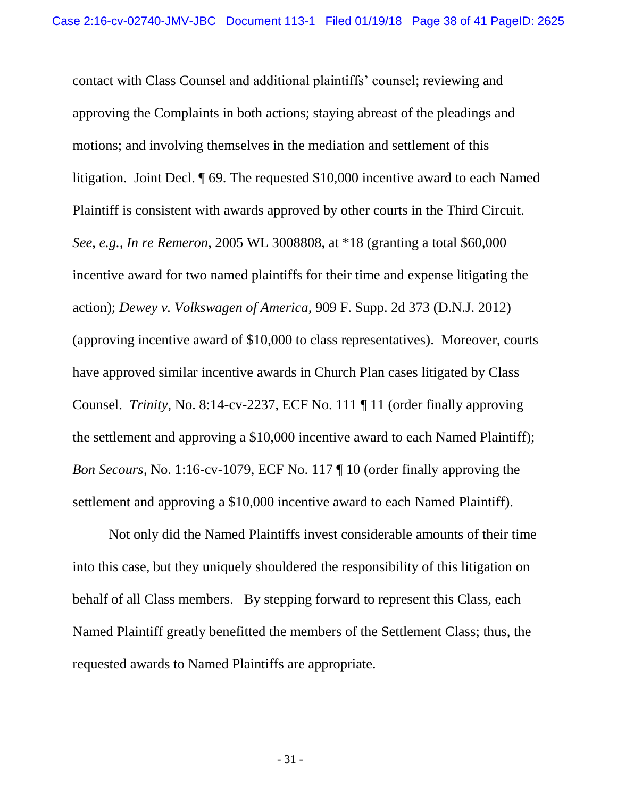<span id="page-41-1"></span><span id="page-41-0"></span>contact with Class Counsel and additional plaintiffs' counsel; reviewing and approving the Complaints in both actions; staying abreast of the pleadings and motions; and involving themselves in the mediation and settlement of this litigation. Joint Decl. ¶ 69. The requested \$10,000 incentive award to each Named Plaintiff is consistent with awards approved by other courts in the Third Circuit. *See, e.g.*, *In re Remeron*, 2005 WL 3008808, at \*18 (granting a total \$60,000 incentive award for two named plaintiffs for their time and expense litigating the action); *Dewey v. Volkswagen of America*, 909 F. Supp. 2d 373 (D.N.J. 2012) (approving incentive award of \$10,000 to class representatives). Moreover, courts have approved similar incentive awards in Church Plan cases litigated by Class Counsel. *Trinity*, No. 8:14-cv-2237, ECF No. 111 ¶ 11 (order finally approving the settlement and approving a \$10,000 incentive award to each Named Plaintiff); *Bon Secours*, No. 1:16-cv-1079, ECF No. 117 ¶ 10 (order finally approving the settlement and approving a \$10,000 incentive award to each Named Plaintiff).

Not only did the Named Plaintiffs invest considerable amounts of their time into this case, but they uniquely shouldered the responsibility of this litigation on behalf of all Class members. By stepping forward to represent this Class, each Named Plaintiff greatly benefitted the members of the Settlement Class; thus, the requested awards to Named Plaintiffs are appropriate.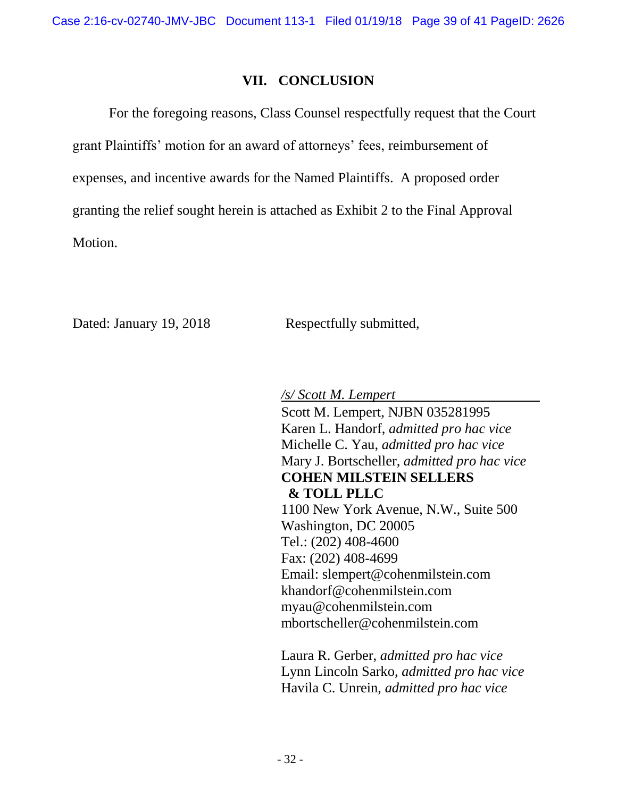#### **VII. CONCLUSION**

<span id="page-42-0"></span>For the foregoing reasons, Class Counsel respectfully request that the Court grant Plaintiffs' motion for an award of attorneys' fees, reimbursement of expenses, and incentive awards for the Named Plaintiffs. A proposed order granting the relief sought herein is attached as Exhibit 2 to the Final Approval Motion.

Dated: January 19, 2018 Respectfully submitted,

*/s/ Scott M. Lempert*

Scott M. Lempert, NJBN 035281995 Karen L. Handorf, *admitted pro hac vice* Michelle C. Yau, *admitted pro hac vice* Mary J. Bortscheller, *admitted pro hac vice* **COHEN MILSTEIN SELLERS & TOLL PLLC** 1100 New York Avenue, N.W., Suite 500 Washington, DC 20005 Tel.: (202) 408-4600 Fax: (202) 408-4699 Email: slempert@cohenmilstein.com khandorf@cohenmilstein.com myau@cohenmilstein.com mbortscheller@cohenmilstein.com

Laura R. Gerber, *admitted pro hac vice* Lynn Lincoln Sarko, *admitted pro hac vice* Havila C. Unrein, *admitted pro hac vice*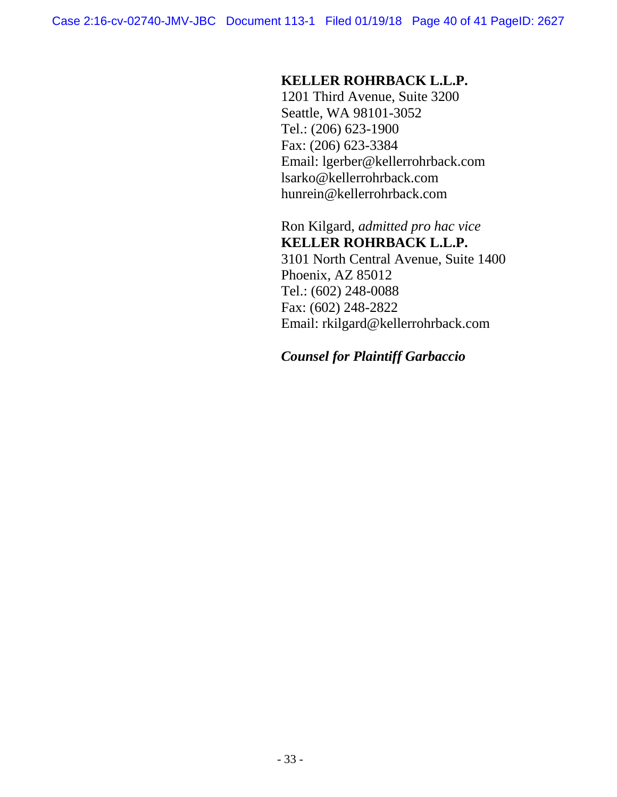### **KELLER ROHRBACK L.L.P.**

1201 Third Avenue, Suite 3200 Seattle, WA 98101-3052 Tel.: (206) 623-1900 Fax: (206) 623-3384 Email: lgerber@kellerrohrback.com lsarko@kellerrohrback.com hunrein@kellerrohrback.com

Ron Kilgard, *admitted pro hac vice* **KELLER ROHRBACK L.L.P.** 3101 North Central Avenue, Suite 1400 Phoenix, AZ 85012 Tel.: (602) 248-0088 Fax: (602) 248-2822 Email: rkilgard@kellerrohrback.com

# *Counsel for Plaintiff Garbaccio*